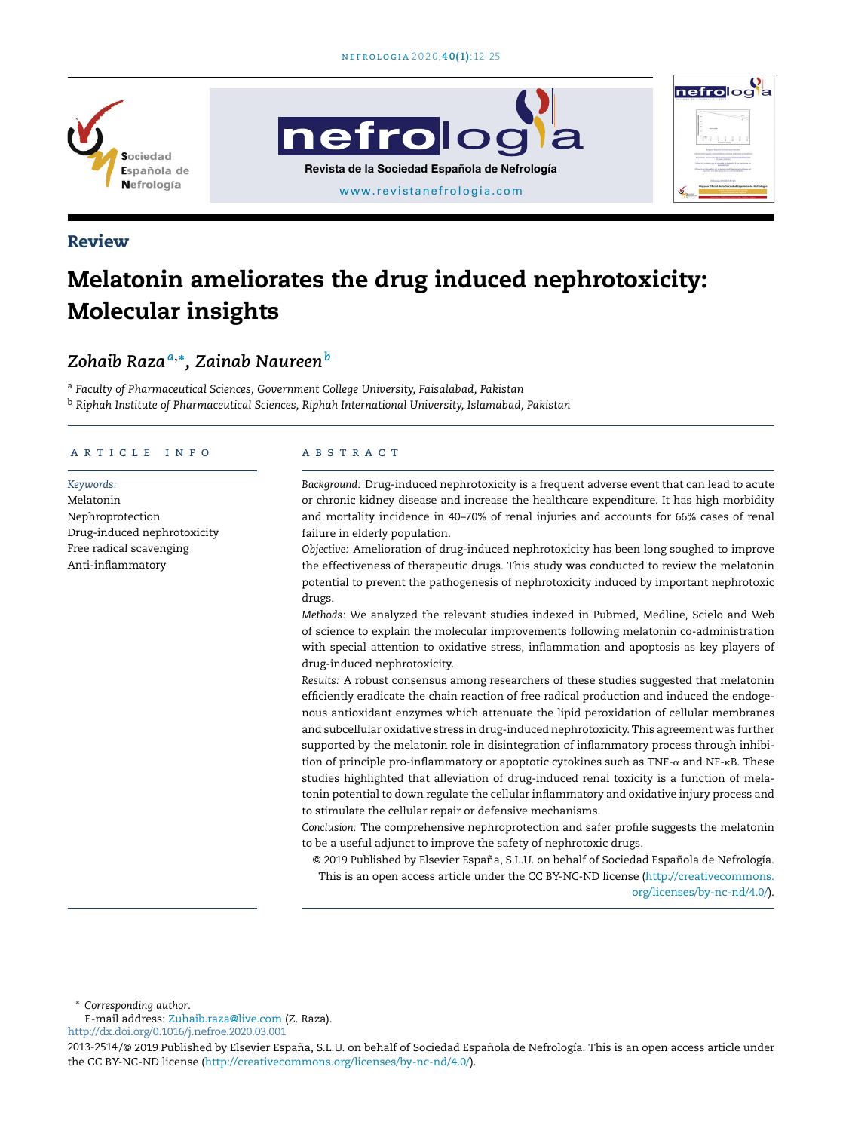





# Review

# Melatonin ameliorates the drug induced nephrotoxicity: Molecular insights

# *Zohaib Raza<sup>a</sup>*,<sup>∗</sup> *, Zainab Naureen<sup>b</sup>*

<sup>a</sup> *Faculty of Pharmaceutical Sciences, Government College University, Faisalabad, Pakistan* <sup>b</sup> *Riphah Institute of Pharmaceutical Sciences, Riphah International University, Islamabad, Pakistan*

#### a r t i c l e i n f o

*Keywords:* Melatonin Nephroprotection Drug-induced nephrotoxicity Free radical scavenging Anti-inflammatory

#### a b s t r a c t

*Background:* Drug-induced nephrotoxicity is a frequent adverse event that can lead to acute or chronic kidney disease and increase the healthcare expenditure. It has high morbidity and mortality incidence in 40–70% of renal injuries and accounts for 66% cases of renal failure in elderly population.

*Objective:* Amelioration of drug-induced nephrotoxicity has been long soughed to improve the effectiveness of therapeutic drugs. This study was conducted to review the melatonin potential to prevent the pathogenesis of nephrotoxicity induced by important nephrotoxic drugs.

*Methods:* We analyzed the relevant studies indexed in Pubmed, Medline, Scielo and Web of science to explain the molecular improvements following melatonin co-administration with special attention to oxidative stress, inflammation and apoptosis as key players of drug-induced nephrotoxicity.

*Results:* A robust consensus among researchers of these studies suggested that melatonin efficiently eradicate the chain reaction of free radical production and induced the endogenous antioxidant enzymes which attenuate the lipid peroxidation of cellular membranes and subcellular oxidative stress in drug-induced nephrotoxicity. This agreement was further supported by the melatonin role in disintegration of inflammatory process through inhibition of principle pro-inflammatory or apoptotic cytokines such as TNF- $\alpha$  and NF- $\kappa$ B. These studies highlighted that alleviation of drug-induced renal toxicity is a function of melatonin potential to down regulate the cellular inflammatory and oxidative injury process and to stimulate the cellular repair or defensive mechanisms.

*Conclusion:* The comprehensive nephroprotection and safer profile suggests the melatonin to be a useful adjunct to improve the safety of nephrotoxic drugs.

© 2019 Published by Elsevier España, S.L.U. on behalf of Sociedad Española de Nefrología. This is an open access article under the CC BY-NC-ND license (http://creativecommons. org/licenses/by-nc-nd/4.0/).

<sup>∗</sup> *Corresponding author*.

E-mail address: Zuhaib.raza@live.com (Z. Raza). http://dx.doi.org/0.1016/j.nefroe.2020.03.001

2013-2514/© 2019 Published by Elsevier España, S.L.U. on behalf of Sociedad Española de Nefrología. This is an open access article under the CC BY-NC-ND license (http://creativecommons.org/licenses/by-nc-nd/4.0/).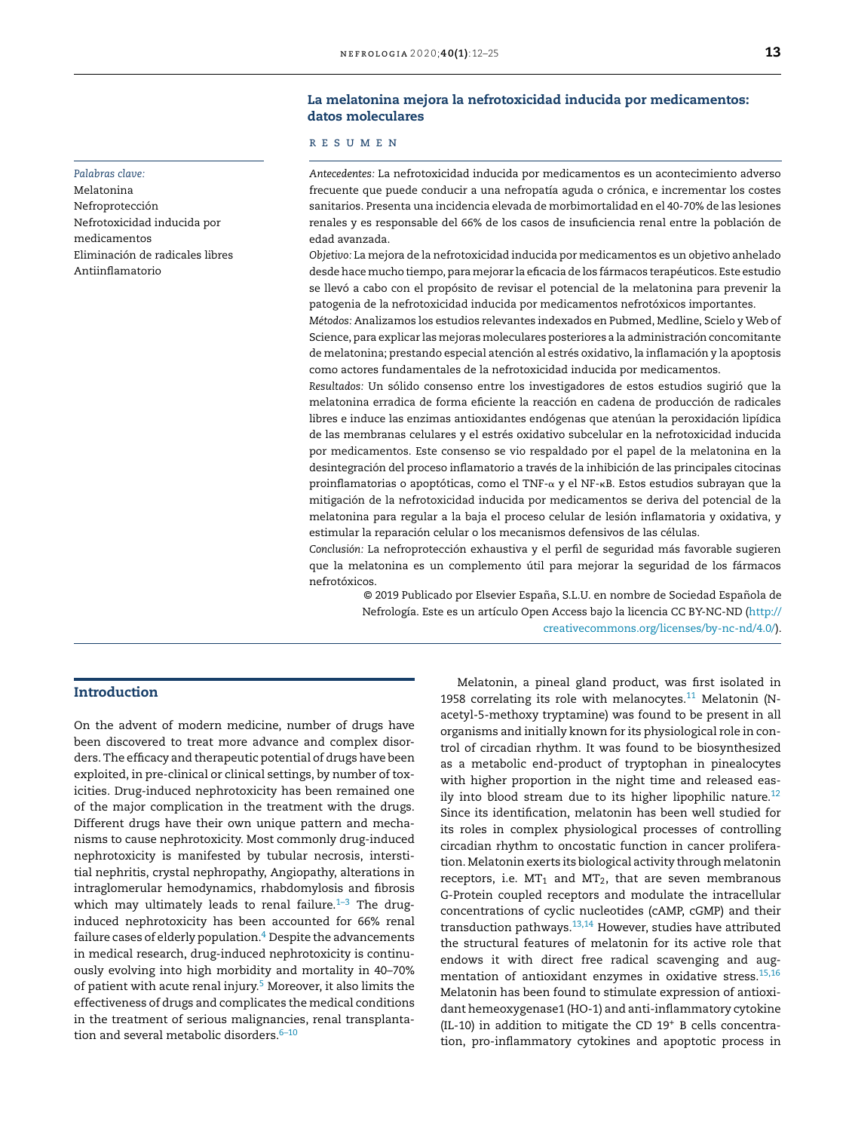# La melatonina mejora la nefrotoxicidad inducida por medicamentos: datos moleculares

#### *Palabras clave:*

Melatonina Nefroprotección Nefrotoxicidad inducida por medicamentos Eliminación de radicales libres Antiinflamatorio

# r e s u m e n

*Antecedentes:* La nefrotoxicidad inducida por medicamentos es un acontecimiento adverso frecuente que puede conducir a una nefropatía aguda o crónica, e incrementar los costes sanitarios. Presenta una incidencia elevada de morbimortalidad en el 40-70% de las lesiones renales y es responsable del 66% de los casos de insuficiencia renal entre la población de edad avanzada.

*Objetivo:* La mejora de la nefrotoxicidad inducida por medicamentos es un objetivo anhelado desde hace mucho tiempo, para mejorar la eficacia de los fármacos terapéuticos. Este estudio se llevó a cabo con el propósito de revisar el potencial de la melatonina para prevenir la patogenia de la nefrotoxicidad inducida por medicamentos nefrotóxicos importantes.

*Métodos:* Analizamos los estudios relevantes indexados en Pubmed, Medline, Scielo y Web of Science, para explicar las mejoras moleculares posteriores a la administración concomitante de melatonina; prestando especial atención al estrés oxidativo, la inflamación y la apoptosis como actores fundamentales de la nefrotoxicidad inducida por medicamentos.

*Resultados:* Un sólido consenso entre los investigadores de estos estudios sugirió que la melatonina erradica de forma eficiente la reacción en cadena de producción de radicales libres e induce las enzimas antioxidantes endógenas que atenúan la peroxidación lipídica de las membranas celulares y el estrés oxidativo subcelular en la nefrotoxicidad inducida por medicamentos. Este consenso se vio respaldado por el papel de la melatonina en la desintegración del proceso inflamatorio a través de la inhibición de las principales citocinas proinflamatorias o apoptóticas, como el TNF-α y el NF-κB. Estos estudios subrayan que la mitigación de la nefrotoxicidad inducida por medicamentos se deriva del potencial de la melatonina para regular a la baja el proceso celular de lesión inflamatoria y oxidativa, y estimular la reparación celular o los mecanismos defensivos de las células.

*Conclusión:* La nefroprotección exhaustiva y el perfil de seguridad más favorable sugieren que la melatonina es un complemento útil para mejorar la seguridad de los fármacos nefrotóxicos.

© 2019 Publicado por Elsevier España, S.L.U. en nombre de Sociedad Española de Nefrología. Este es un artículo Open Access bajo la licencia CC BY-NC-ND (http:// creativecommons.org/licenses/by-nc-nd/4.0/).

# Introduction

On the advent of modern medicine, number of drugs have been discovered to treat more advance and complex disorders. The efficacy and therapeutic potential of drugs have been exploited, in pre-clinical or clinical settings, by number of toxicities. Drug-induced nephrotoxicity has been remained one of the major complication in the treatment with the drugs. Different drugs have their own unique pattern and mechanisms to cause nephrotoxicity. Most commonly drug-induced nephrotoxicity is manifested by tubular necrosis, interstitial nephritis, crystal nephropathy, Angiopathy, alterations in intraglomerular hemodynamics, rhabdomylosis and fibrosis which may ultimately leads to renal failure. $1-3$  The druginduced nephrotoxicity has been accounted for 66% renal failure cases of elderly population.<sup>4</sup> Despite the advancements in medical research, drug-induced nephrotoxicity is continuously evolving into high morbidity and mortality in 40–70% of patient with acute renal injury.<sup>5</sup> Moreover, it also limits the effectiveness of drugs and complicates the medical conditions in the treatment of serious malignancies, renal transplantation and several metabolic disorders. $6-10$ 

Melatonin, a pineal gland product, was first isolated in 1958 correlating its role with melanocytes. $11$  Melatonin (Nacetyl-5-methoxy tryptamine) was found to be present in all organisms and initially known for its physiological role in control of circadian rhythm. It was found to be biosynthesized as a metabolic end-product of tryptophan in pinealocytes with higher proportion in the night time and released easily into blood stream due to its higher lipophilic nature. $12$ Since its identification, melatonin has been well studied for its roles in complex physiological processes of controlling circadian rhythm to oncostatic function in cancer proliferation. Melatonin exerts its biological activity through melatonin receptors, i.e.  $MT_1$  and  $MT_2$ , that are seven membranous G-Protein coupled receptors and modulate the intracellular concentrations of cyclic nucleotides (cAMP, cGMP) and their transduction pathways.13,14 However, studies have attributed the structural features of melatonin for its active role that endows it with direct free radical scavenging and augmentation of antioxidant enzymes in oxidative stress.<sup>15,16</sup> Melatonin has been found to stimulate expression of antioxidant hemeoxygenase1 (HO-1) and anti-inflammatory cytokine (IL-10) in addition to mitigate the CD 19<sup>+</sup> B cells concentration, pro-inflammatory cytokines and apoptotic process in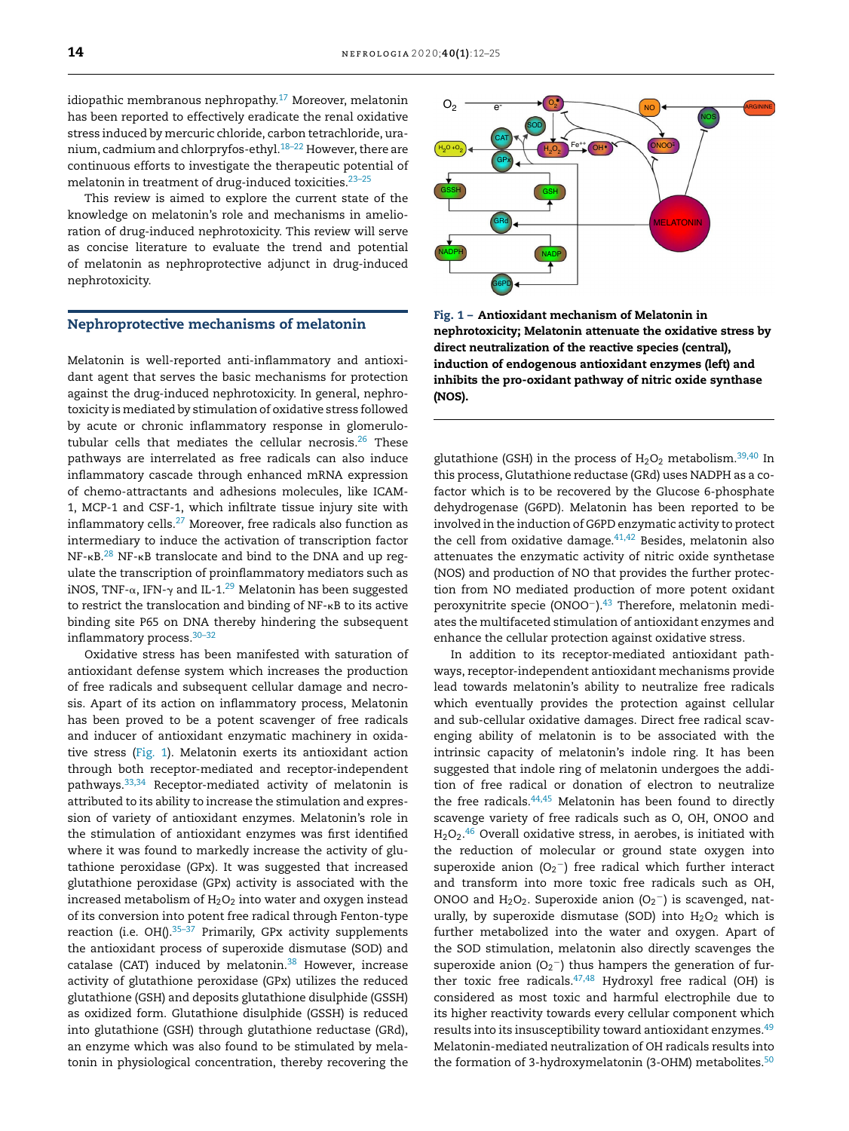idiopathic membranous nephropathy. $17$  Moreover, melatonin has been reported to effectively eradicate the renal oxidative stress induced by mercuric chloride, carbon tetrachloride, uranium, cadmium and chlorpryfos-ethyl. $18-22$  However, there are continuous efforts to investigate the therapeutic potential of melatonin in treatment of drug-induced toxicities.23–25

This review is aimed to explore the current state of the knowledge on melatonin's role and mechanisms in amelioration of drug-induced nephrotoxicity. This review will serve as concise literature to evaluate the trend and potential of melatonin as nephroprotective adjunct in drug-induced nephrotoxicity.

#### Nephroprotective mechanisms of melatonin

Melatonin is well-reported anti-inflammatory and antioxidant agent that serves the basic mechanisms for protection against the drug-induced nephrotoxicity. In general, nephrotoxicity is mediated by stimulation of oxidative stress followed by acute or chronic inflammatory response in glomerulotubular cells that mediates the cellular necrosis.<sup>26</sup> These pathways are interrelated as free radicals can also induce inflammatory cascade through enhanced mRNA expression of chemo-attractants and adhesions molecules, like ICAM-1, MCP-1 and CSF-1, which infiltrate tissue injury site with inflammatory cells.<sup>27</sup> Moreover, free radicals also function as intermediary to induce the activation of transcription factor  $NF-\kappa B$ .<sup>28</sup> NF- $\kappa B$  translocate and bind to the DNA and up regulate the transcription of proinflammatory mediators such as iNOS, TNF- $\alpha$ , IFN- $\gamma$  and IL-1. $^{29}$  Melatonin has been suggested to restrict the translocation and binding of NF-KB to its active binding site P65 on DNA thereby hindering the subsequent inflammatory process.30–32

Oxidative stress has been manifested with saturation of antioxidant defense system which increases the production of free radicals and subsequent cellular damage and necrosis. Apart of its action on inflammatory process, Melatonin has been proved to be a potent scavenger of free radicals and inducer of antioxidant enzymatic machinery in oxidative stress (Fig. 1). Melatonin exerts its antioxidant action through both receptor-mediated and receptor-independent pathways.33,34 Receptor-mediated activity of melatonin is attributed to its ability to increase the stimulation and expression of variety of antioxidant enzymes. Melatonin's role in the stimulation of antioxidant enzymes was first identified where it was found to markedly increase the activity of glutathione peroxidase (GPx). It was suggested that increased glutathione peroxidase (GPx) activity is associated with the increased metabolism of  $H_2O_2$  into water and oxygen instead of its conversion into potent free radical through Fenton-type reaction (i.e.  $OH()$ .<sup>35-37</sup> Primarily, GPx activity supplements the antioxidant process of superoxide dismutase (SOD) and catalase (CAT) induced by melatonin. $38$  However, increase activity of glutathione peroxidase (GPx) utilizes the reduced glutathione (GSH) and deposits glutathione disulphide (GSSH) as oxidized form. Glutathione disulphide (GSSH) is reduced into glutathione (GSH) through glutathione reductase (GRd), an enzyme which was also found to be stimulated by melatonin in physiological concentration, thereby recovering the



Fig. 1 – Antioxidant mechanism of Melatonin in nephrotoxicity; Melatonin attenuate the oxidative stress by direct neutralization of the reactive species (central), induction of endogenous antioxidant enzymes (left) and inhibits the pro-oxidant pathway of nitric oxide synthase (NOS).

glutathione (GSH) in the process of  $H_2O_2$  metabolism.<sup>39,40</sup> In this process, Glutathione reductase (GRd) uses NADPH as a cofactor which is to be recovered by the Glucose 6-phosphate dehydrogenase (G6PD). Melatonin has been reported to be involved in the induction of G6PD enzymatic activity to protect the cell from oxidative damage.<sup>41,42</sup> Besides, melatonin also attenuates the enzymatic activity of nitric oxide synthetase (NOS) and production of NO that provides the further protection from NO mediated production of more potent oxidant peroxynitrite specie (ONOO<sup>-</sup>).<sup>43</sup> Therefore, melatonin mediates the multifaceted stimulation of antioxidant enzymes and enhance the cellular protection against oxidative stress.

In addition to its receptor-mediated antioxidant pathways, receptor-independent antioxidant mechanisms provide lead towards melatonin's ability to neutralize free radicals which eventually provides the protection against cellular and sub-cellular oxidative damages. Direct free radical scavenging ability of melatonin is to be associated with the intrinsic capacity of melatonin's indole ring. It has been suggested that indole ring of melatonin undergoes the addition of free radical or donation of electron to neutralize the free radicals.44,45 Melatonin has been found to directly scavenge variety of free radicals such as O, OH, ONOO and  $\rm H_2O_2.^{46}$  Overall oxidative stress, in aerobes, is initiated with the reduction of molecular or ground state oxygen into superoxide anion  $(O_2^-)$  free radical which further interact and transform into more toxic free radicals such as OH, ONOO and  $H_2O_2$ . Superoxide anion  $(O_2^-)$  is scavenged, naturally, by superoxide dismutase (SOD) into  $H_2O_2$  which is further metabolized into the water and oxygen. Apart of the SOD stimulation, melatonin also directly scavenges the superoxide anion  $(O_2^-)$  thus hampers the generation of further toxic free radicals. $47,48$  Hydroxyl free radical (OH) is considered as most toxic and harmful electrophile due to its higher reactivity towards every cellular component which results into its insusceptibility toward antioxidant enzymes.<sup>49</sup> Melatonin-mediated neutralization of OH radicals results into the formation of 3-hydroxymelatonin (3-OHM) metabolites. $50$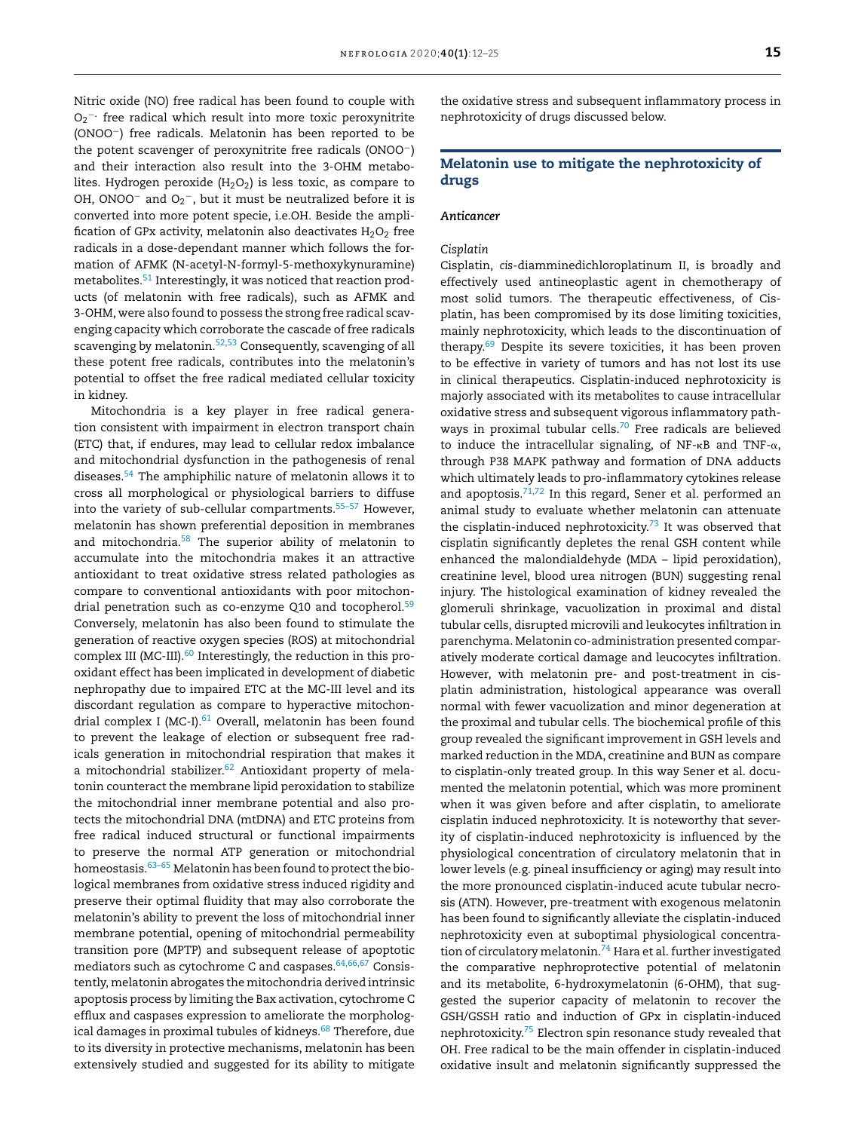Nitric oxide (NO) free radical has been found to couple with O<sub>2</sub><sup>−</sup>· free radical which result into more toxic peroxynitrite (ONOO−) free radicals. Melatonin has been reported to be the potent scavenger of peroxynitrite free radicals (ONOO−) and their interaction also result into the 3-OHM metabolites. Hydrogen peroxide  $(H<sub>2</sub>O<sub>2</sub>)$  is less toxic, as compare to OH, ONOO $^-$  and O<sub>2</sub> $^-$ , but it must be neutralized before it is converted into more potent specie, i.e.OH. Beside the amplification of GPx activity, melatonin also deactivates  $H_2O_2$  free radicals in a dose-dependant manner which follows the formation of AFMK (N-acetyl-N-formyl-5-methoxykynuramine) metabolites.<sup>51</sup> Interestingly, it was noticed that reaction products (of melatonin with free radicals), such as AFMK and 3-OHM, were also found to possess the strong free radical scavenging capacity which corroborate the cascade of free radicals scavenging by melatonin.<sup>52,53</sup> Consequently, scavenging of all these potent free radicals, contributes into the melatonin's potential to offset the free radical mediated cellular toxicity in kidney.

Mitochondria is a key player in free radical generation consistent with impairment in electron transport chain (ETC) that, if endures, may lead to cellular redox imbalance and mitochondrial dysfunction in the pathogenesis of renal diseases.<sup>54</sup> The amphiphilic nature of melatonin allows it to cross all morphological or physiological barriers to diffuse into the variety of sub-cellular compartments.<sup>55-57</sup> However, melatonin has shown preferential deposition in membranes and mitochondria.<sup>58</sup> The superior ability of melatonin to accumulate into the mitochondria makes it an attractive antioxidant to treat oxidative stress related pathologies as compare to conventional antioxidants with poor mitochondrial penetration such as co-enzyme Q10 and tocopherol.<sup>59</sup> Conversely, melatonin has also been found to stimulate the generation of reactive oxygen species (ROS) at mitochondrial complex III (MC-III).<sup>60</sup> Interestingly, the reduction in this prooxidant effect has been implicated in development of diabetic nephropathy due to impaired ETC at the MC-III level and its discordant regulation as compare to hyperactive mitochondrial complex I (MC-I).<sup>61</sup> Overall, melatonin has been found to prevent the leakage of election or subsequent free radicals generation in mitochondrial respiration that makes it a mitochondrial stabilizer.<sup>62</sup> Antioxidant property of melatonin counteract the membrane lipid peroxidation to stabilize the mitochondrial inner membrane potential and also protects the mitochondrial DNA (mtDNA) and ETC proteins from free radical induced structural or functional impairments to preserve the normal ATP generation or mitochondrial homeostasis.  $63-65$  Melatonin has been found to protect the biological membranes from oxidative stress induced rigidity and preserve their optimal fluidity that may also corroborate the melatonin's ability to prevent the loss of mitochondrial inner membrane potential, opening of mitochondrial permeability transition pore (MPTP) and subsequent release of apoptotic mediators such as cytochrome C and caspases.<sup>64,66,67</sup> Consistently, melatonin abrogates the mitochondria derived intrinsic apoptosis process by limiting the Bax activation, cytochrome C efflux and caspases expression to ameliorate the morphological damages in proximal tubules of kidneys.<sup>68</sup> Therefore, due to its diversity in protective mechanisms, melatonin has been extensively studied and suggested for its ability to mitigate the oxidative stress and subsequent inflammatory process in nephrotoxicity of drugs discussed below.

# Melatonin use to mitigate the nephrotoxicity of drugs

## *Anticancer*

# *Cisplatin*

Cisplatin, *cis*-diamminedichloroplatinum II, is broadly and effectively used antineoplastic agent in chemotherapy of most solid tumors. The therapeutic effectiveness, of Cisplatin, has been compromised by its dose limiting toxicities, mainly nephrotoxicity, which leads to the discontinuation of therapy.<sup>69</sup> Despite its severe toxicities, it has been proven to be effective in variety of tumors and has not lost its use in clinical therapeutics. Cisplatin-induced nephrotoxicity is majorly associated with its metabolites to cause intracellular oxidative stress and subsequent vigorous inflammatory pathways in proximal tubular cells.<sup>70</sup> Free radicals are believed to induce the intracellular signaling, of NF- $\kappa$ B and TNF- $\alpha$ , through P38 MAPK pathway and formation of DNA adducts which ultimately leads to pro-inflammatory cytokines release and apoptosis. $71,72$  In this regard, Sener et al. performed an animal study to evaluate whether melatonin can attenuate the cisplatin-induced nephrotoxicity.<sup>73</sup> It was observed that cisplatin significantly depletes the renal GSH content while enhanced the malondialdehyde (MDA – lipid peroxidation), creatinine level, blood urea nitrogen (BUN) suggesting renal injury. The histological examination of kidney revealed the glomeruli shrinkage, vacuolization in proximal and distal tubular cells, disrupted microvili and leukocytes infiltration in parenchyma. Melatonin co-administration presented comparatively moderate cortical damage and leucocytes infiltration. However, with melatonin pre- and post-treatment in cisplatin administration, histological appearance was overall normal with fewer vacuolization and minor degeneration at the proximal and tubular cells. The biochemical profile of this group revealed the significant improvement in GSH levels and marked reduction in the MDA, creatinine and BUN as compare to cisplatin-only treated group. In this way Sener et al. documented the melatonin potential, which was more prominent when it was given before and after cisplatin, to ameliorate cisplatin induced nephrotoxicity. It is noteworthy that severity of cisplatin-induced nephrotoxicity is influenced by the physiological concentration of circulatory melatonin that in lower levels (e.g. pineal insufficiency or aging) may result into the more pronounced cisplatin-induced acute tubular necrosis (ATN). However, pre-treatment with exogenous melatonin has been found to significantly alleviate the cisplatin-induced nephrotoxicity even at suboptimal physiological concentration of circulatory melatonin.<sup>74</sup> Hara et al. further investigated the comparative nephroprotective potential of melatonin and its metabolite, 6-hydroxymelatonin (6-OHM), that suggested the superior capacity of melatonin to recover the GSH/GSSH ratio and induction of GPx in cisplatin-induced nephrotoxicity.<sup>75</sup> Electron spin resonance study revealed that OH. Free radical to be the main offender in cisplatin-induced oxidative insult and melatonin significantly suppressed the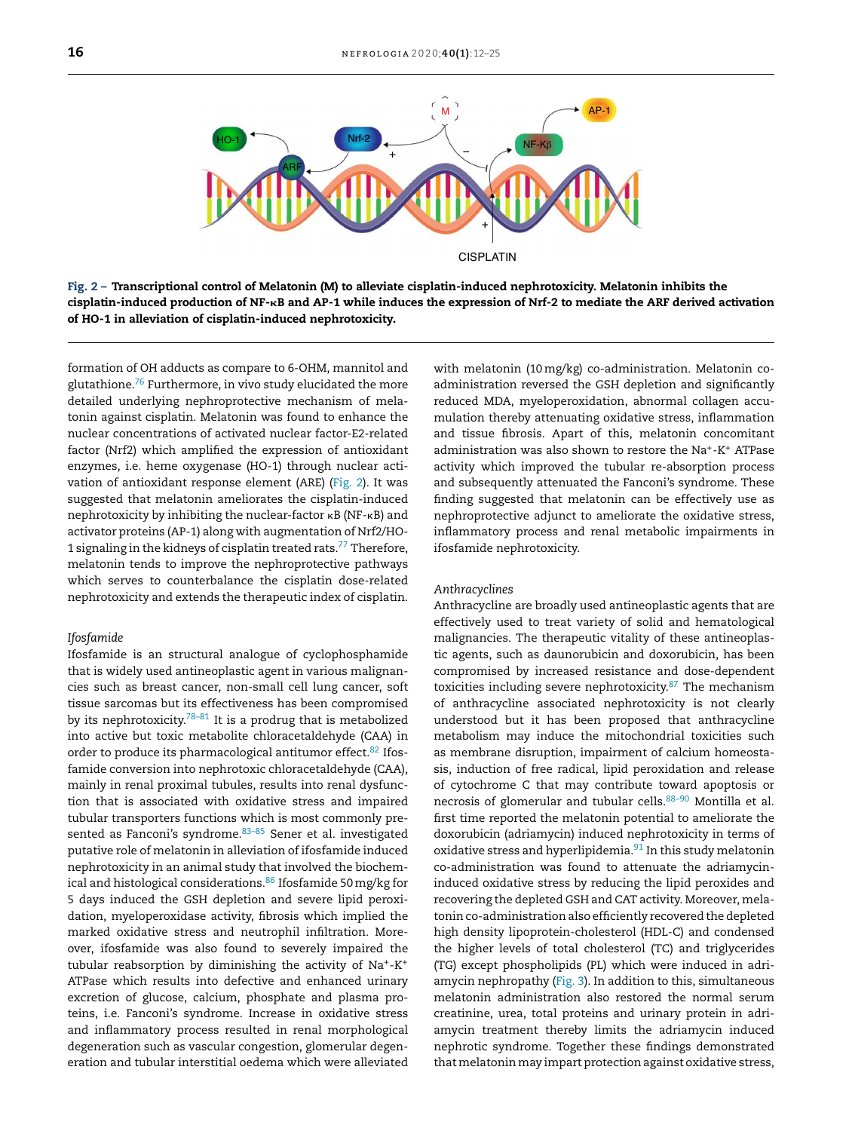

Fig. 2 – Transcriptional control of Melatonin (M) to alleviate cisplatin-induced nephrotoxicity. Melatonin inhibits the cisplatin-induced production of NF--B and AP-1 while induces the expression of Nrf-2 to mediate the ARF derived activation of HO-1 in alleviation of cisplatin-induced nephrotoxicity.

formation of OH adducts as compare to 6-OHM, mannitol and glutathione. $76$  Furthermore, in vivo study elucidated the more detailed underlying nephroprotective mechanism of melatonin against cisplatin. Melatonin was found to enhance the nuclear concentrations of activated nuclear factor-E2-related factor (Nrf2) which amplified the expression of antioxidant enzymes, i.e. heme oxygenase (HO-1) through nuclear activation of antioxidant response element (ARE) (Fig. 2). It was suggested that melatonin ameliorates the cisplatin-induced nephrotoxicity by inhibiting the nuclear-factor  $\kappa$ B (NF- $\kappa$ B) and activator proteins (AP-1) along with augmentation of Nrf2/HO-1 signaling in the kidneys of cisplatin treated rats.<sup>77</sup> Therefore, melatonin tends to improve the nephroprotective pathways which serves to counterbalance the cisplatin dose-related nephrotoxicity and extends the therapeutic index of cisplatin.

#### *Ifosfamide*

Ifosfamide is an structural analogue of cyclophosphamide that is widely used antineoplastic agent in various malignancies such as breast cancer, non-small cell lung cancer, soft tissue sarcomas but its effectiveness has been compromised by its nephrotoxicity.<sup>78–81</sup> It is a prodrug that is metabolized into active but toxic metabolite chloracetaldehyde (CAA) in order to produce its pharmacological antitumor effect.<sup>82</sup> Ifosfamide conversion into nephrotoxic chloracetaldehyde (CAA), mainly in renal proximal tubules, results into renal dysfunction that is associated with oxidative stress and impaired tubular transporters functions which is most commonly presented as Fanconi's syndrome. 83-85 Sener et al. investigated putative role of melatonin in alleviation of ifosfamide induced nephrotoxicity in an animal study that involved the biochemical and histological considerations.<sup>86</sup> Ifosfamide 50 mg/kg for 5 days induced the GSH depletion and severe lipid peroxidation, myeloperoxidase activity, fibrosis which implied the marked oxidative stress and neutrophil infiltration. Moreover, ifosfamide was also found to severely impaired the tubular reabsorption by diminishing the activity of Na<sup>+</sup>-K<sup>+</sup> ATPase which results into defective and enhanced urinary excretion of glucose, calcium, phosphate and plasma proteins, i.e. Fanconi's syndrome. Increase in oxidative stress and inflammatory process resulted in renal morphological degeneration such as vascular congestion, glomerular degeneration and tubular interstitial oedema which were alleviated

with melatonin (10mg/kg) co-administration. Melatonin coadministration reversed the GSH depletion and significantly reduced MDA, myeloperoxidation, abnormal collagen accumulation thereby attenuating oxidative stress, inflammation and tissue fibrosis. Apart of this, melatonin concomitant administration was also shown to restore the Na<sup>+</sup> -K<sup>+</sup> ATPase activity which improved the tubular re-absorption process and subsequently attenuated the Fanconi's syndrome. These finding suggested that melatonin can be effectively use as nephroprotective adjunct to ameliorate the oxidative stress, inflammatory process and renal metabolic impairments in ifosfamide nephrotoxicity.

#### *Anthracyclines*

Anthracycline are broadly used antineoplastic agents that are effectively used to treat variety of solid and hematological malignancies. The therapeutic vitality of these antineoplastic agents, such as daunorubicin and doxorubicin, has been compromised by increased resistance and dose-dependent toxicities including severe nephrotoxicity.<sup>87</sup> The mechanism of anthracycline associated nephrotoxicity is not clearly understood but it has been proposed that anthracycline metabolism may induce the mitochondrial toxicities such as membrane disruption, impairment of calcium homeostasis, induction of free radical, lipid peroxidation and release of cytochrome C that may contribute toward apoptosis or necrosis of glomerular and tubular cells.<sup>88–90</sup> Montilla et al. first time reported the melatonin potential to ameliorate the doxorubicin (adriamycin) induced nephrotoxicity in terms of oxidative stress and hyperlipidemia.<sup>91</sup> In this study melatonin co-administration was found to attenuate the adriamycininduced oxidative stress by reducing the lipid peroxides and recovering the depleted GSH and CAT activity. Moreover, melatonin co-administration also efficiently recovered the depleted high density lipoprotein-cholesterol (HDL-C) and condensed the higher levels of total cholesterol (TC) and triglycerides (TG) except phospholipids (PL) which were induced in adriamycin nephropathy (Fig. 3). In addition to this, simultaneous melatonin administration also restored the normal serum creatinine, urea, total proteins and urinary protein in adriamycin treatment thereby limits the adriamycin induced nephrotic syndrome. Together these findings demonstrated that melatonin may impart protection against oxidative stress,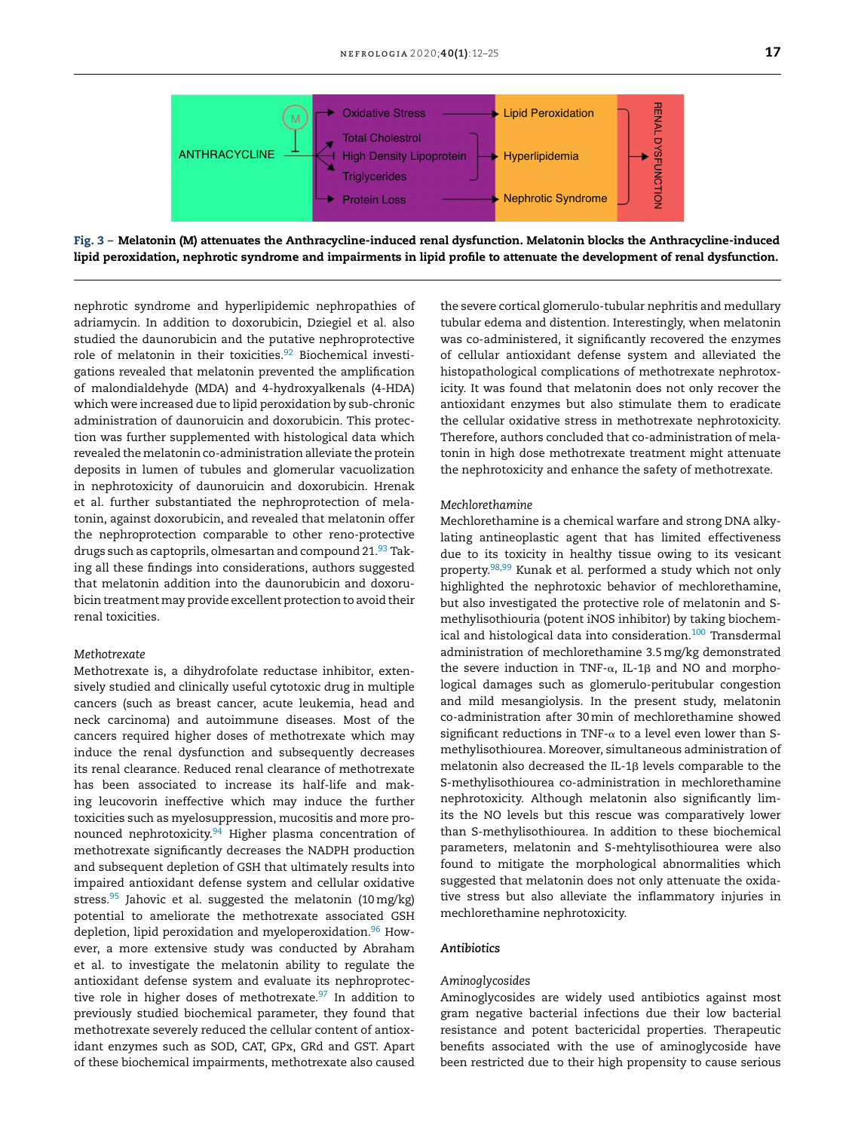

Fig. 3 – Melatonin (M) attenuates the Anthracycline-induced renal dysfunction. Melatonin blocks the Anthracycline-induced lipid peroxidation, nephrotic syndrome and impairments in lipid profile to attenuate the development of renal dysfunction.

nephrotic syndrome and hyperlipidemic nephropathies of adriamycin. In addition to doxorubicin, Dziegiel et al. also studied the daunorubicin and the putative nephroprotective role of melatonin in their toxicities. $92$  Biochemical investigations revealed that melatonin prevented the amplification of malondialdehyde (MDA) and 4-hydroxyalkenals (4-HDA) which were increased due to lipid peroxidation by sub-chronic administration of daunoruicin and doxorubicin. This protection was further supplemented with histological data which revealed the melatonin co-administration alleviate the protein deposits in lumen of tubules and glomerular vacuolization in nephrotoxicity of daunoruicin and doxorubicin. Hrenak et al. further substantiated the nephroprotection of melatonin, against doxorubicin, and revealed that melatonin offer the nephroprotection comparable to other reno-protective drugs such as captoprils, olmesartan and compound 21.93 Taking all these findings into considerations, authors suggested that melatonin addition into the daunorubicin and doxorubicin treatment may provide excellent protection to avoid their renal toxicities.

#### *Methotrexate*

Methotrexate is, a dihydrofolate reductase inhibitor, extensively studied and clinically useful cytotoxic drug in multiple cancers (such as breast cancer, acute leukemia, head and neck carcinoma) and autoimmune diseases. Most of the cancers required higher doses of methotrexate which may induce the renal dysfunction and subsequently decreases its renal clearance. Reduced renal clearance of methotrexate has been associated to increase its half-life and making leucovorin ineffective which may induce the further toxicities such as myelosuppression, mucositis and more pronounced nephrotoxicity.<sup>94</sup> Higher plasma concentration of methotrexate significantly decreases the NADPH production and subsequent depletion of GSH that ultimately results into impaired antioxidant defense system and cellular oxidative stress.<sup>95</sup> Jahovic et al. suggested the melatonin (10 mg/kg) potential to ameliorate the methotrexate associated GSH depletion, lipid peroxidation and myeloperoxidation.<sup>96</sup> However, a more extensive study was conducted by Abraham et al. to investigate the melatonin ability to regulate the antioxidant defense system and evaluate its nephroprotective role in higher doses of methotrexate. $97$  In addition to previously studied biochemical parameter, they found that methotrexate severely reduced the cellular content of antioxidant enzymes such as SOD, CAT, GPx, GRd and GST. Apart of these biochemical impairments, methotrexate also caused

the severe cortical glomerulo-tubular nephritis and medullary tubular edema and distention. Interestingly, when melatonin was co-administered, it significantly recovered the enzymes of cellular antioxidant defense system and alleviated the histopathological complications of methotrexate nephrotoxicity. It was found that melatonin does not only recover the antioxidant enzymes but also stimulate them to eradicate the cellular oxidative stress in methotrexate nephrotoxicity. Therefore, authors concluded that co-administration of melatonin in high dose methotrexate treatment might attenuate the nephrotoxicity and enhance the safety of methotrexate.

## *Mechlorethamine*

Mechlorethamine is a chemical warfare and strong DNA alkylating antineoplastic agent that has limited effectiveness due to its toxicity in healthy tissue owing to its vesicant property.98,99 Kunak et al. performed a study which not only highlighted the nephrotoxic behavior of mechlorethamine, but also investigated the protective role of melatonin and Smethylisothiouria (potent iNOS inhibitor) by taking biochemical and histological data into consideration.<sup>100</sup> Transdermal administration of mechlorethamine 3.5mg/kg demonstrated the severe induction in TNF- $\alpha$ , IL-1 $\beta$  and NO and morphological damages such as glomerulo-peritubular congestion and mild mesangiolysis. In the present study, melatonin co-administration after 30min of mechlorethamine showed  ${\rm significant~reductions}$  in TNF- $\alpha$  to a level even lower than Smethylisothiourea. Moreover, simultaneous administration of melatonin also decreased the IL-1 $\beta$  levels comparable to the S-methylisothiourea co-administration in mechlorethamine nephrotoxicity. Although melatonin also significantly limits the NO levels but this rescue was comparatively lower than S-methylisothiourea. In addition to these biochemical parameters, melatonin and S-mehtylisothiourea were also found to mitigate the morphological abnormalities which suggested that melatonin does not only attenuate the oxidative stress but also alleviate the inflammatory injuries in mechlorethamine nephrotoxicity.

#### *Antibiotics*

#### *Aminoglycosides*

Aminoglycosides are widely used antibiotics against most gram negative bacterial infections due their low bacterial resistance and potent bactericidal properties. Therapeutic benefits associated with the use of aminoglycoside have been restricted due to their high propensity to cause serious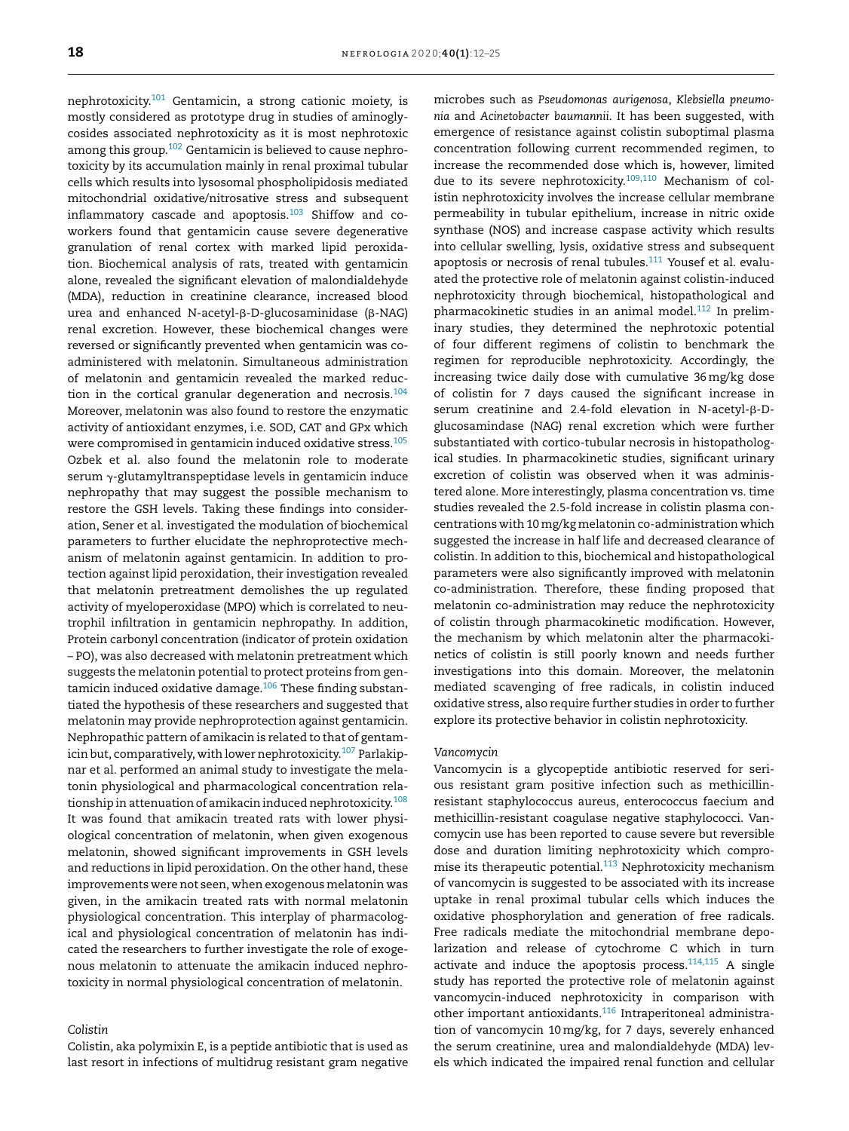nephrotoxicity.<sup>101</sup> Gentamicin, a strong cationic moiety, is mostly considered as prototype drug in studies of aminoglycosides associated nephrotoxicity as it is most nephrotoxic among this group.<sup>102</sup> Gentamicin is believed to cause nephrotoxicity by its accumulation mainly in renal proximal tubular cells which results into lysosomal phospholipidosis mediated mitochondrial oxidative/nitrosative stress and subsequent inflammatory cascade and apoptosis.<sup>103</sup> Shiffow and coworkers found that gentamicin cause severe degenerative granulation of renal cortex with marked lipid peroxidation. Biochemical analysis of rats, treated with gentamicin alone, revealed the significant elevation of malondialdehyde (MDA), reduction in creatinine clearance, increased blood urea and enhanced N-acetyl- $\beta$ -D-glucosaminidase ( $\beta$ -NAG) renal excretion. However, these biochemical changes were reversed or significantly prevented when gentamicin was coadministered with melatonin. Simultaneous administration of melatonin and gentamicin revealed the marked reduction in the cortical granular degeneration and necrosis.<sup>104</sup> Moreover, melatonin was also found to restore the enzymatic activity of antioxidant enzymes, i.e. SOD, CAT and GPx which were compromised in gentamicin induced oxidative stress.<sup>105</sup> Ozbek et al. also found the melatonin role to moderate serum  $\gamma$ -glutamyltranspeptidase levels in gentamicin induce nephropathy that may suggest the possible mechanism to restore the GSH levels. Taking these findings into consideration, Sener et al. investigated the modulation of biochemical parameters to further elucidate the nephroprotective mechanism of melatonin against gentamicin. In addition to protection against lipid peroxidation, their investigation revealed that melatonin pretreatment demolishes the up regulated activity of myeloperoxidase (MPO) which is correlated to neutrophil infiltration in gentamicin nephropathy. In addition, Protein carbonyl concentration (indicator of protein oxidation – PO), was also decreased with melatonin pretreatment which suggests the melatonin potential to protect proteins from gentamicin induced oxidative damage.<sup>106</sup> These finding substantiated the hypothesis of these researchers and suggested that melatonin may provide nephroprotection against gentamicin. Nephropathic pattern of amikacin is related to that of gentamicin but, comparatively, with lower nephrotoxicity.<sup>107</sup> Parlakipnar et al. performed an animal study to investigate the melatonin physiological and pharmacological concentration relationship in attenuation of amikacin induced nephrotoxicity.<sup>108</sup> It was found that amikacin treated rats with lower physiological concentration of melatonin, when given exogenous melatonin, showed significant improvements in GSH levels and reductions in lipid peroxidation. On the other hand, these improvements were not seen, when exogenous melatonin was given, in the amikacin treated rats with normal melatonin physiological concentration. This interplay of pharmacological and physiological concentration of melatonin has indicated the researchers to further investigate the role of exogenous melatonin to attenuate the amikacin induced nephrotoxicity in normal physiological concentration of melatonin.

# *Colistin*

Colistin, aka polymixin E, is a peptide antibiotic that is used as last resort in infections of multidrug resistant gram negative microbes such as *Pseudomonas aurigenosa*, *Klebsiella pneumonia* and *Acinetobacter baumannii*. It has been suggested, with emergence of resistance against colistin suboptimal plasma concentration following current recommended regimen, to increase the recommended dose which is, however, limited due to its severe nephrotoxicity.<sup>109,110</sup> Mechanism of colistin nephrotoxicity involves the increase cellular membrane permeability in tubular epithelium, increase in nitric oxide synthase (NOS) and increase caspase activity which results into cellular swelling, lysis, oxidative stress and subsequent apoptosis or necrosis of renal tubules.<sup>111</sup> Yousef et al. evaluated the protective role of melatonin against colistin-induced nephrotoxicity through biochemical, histopathological and pharmacokinetic studies in an animal model.<sup>112</sup> In preliminary studies, they determined the nephrotoxic potential of four different regimens of colistin to benchmark the regimen for reproducible nephrotoxicity. Accordingly, the increasing twice daily dose with cumulative 36mg/kg dose of colistin for 7 days caused the significant increase in serum creatinine and 2.4-fold elevation in N-acetyl- $\beta$ -Dglucosamindase (NAG) renal excretion which were further substantiated with cortico-tubular necrosis in histopathological studies. In pharmacokinetic studies, significant urinary excretion of colistin was observed when it was administered alone. More interestingly, plasma concentration vs. time studies revealed the 2.5-fold increase in colistin plasma concentrations with 10mg/kg melatonin co-administration which suggested the increase in half life and decreased clearance of colistin. In addition to this, biochemical and histopathological parameters were also significantly improved with melatonin co-administration. Therefore, these finding proposed that melatonin co-administration may reduce the nephrotoxicity of colistin through pharmacokinetic modification. However, the mechanism by which melatonin alter the pharmacokinetics of colistin is still poorly known and needs further investigations into this domain. Moreover, the melatonin mediated scavenging of free radicals, in colistin induced oxidative stress, also require further studies in order to further explore its protective behavior in colistin nephrotoxicity.

#### *Vancomycin*

Vancomycin is a glycopeptide antibiotic reserved for serious resistant gram positive infection such as methicillinresistant staphylococcus aureus, enterococcus faecium and methicillin-resistant coagulase negative staphylococci. Vancomycin use has been reported to cause severe but reversible dose and duration limiting nephrotoxicity which compromise its therapeutic potential.<sup>113</sup> Nephrotoxicity mechanism of vancomycin is suggested to be associated with its increase uptake in renal proximal tubular cells which induces the oxidative phosphorylation and generation of free radicals. Free radicals mediate the mitochondrial membrane depolarization and release of cytochrome C which in turn activate and induce the apoptosis process. $114,115$  A single study has reported the protective role of melatonin against vancomycin-induced nephrotoxicity in comparison with other important antioxidants.<sup>116</sup> Intraperitoneal administration of vancomycin 10mg/kg, for 7 days, severely enhanced the serum creatinine, urea and malondialdehyde (MDA) levels which indicated the impaired renal function and cellular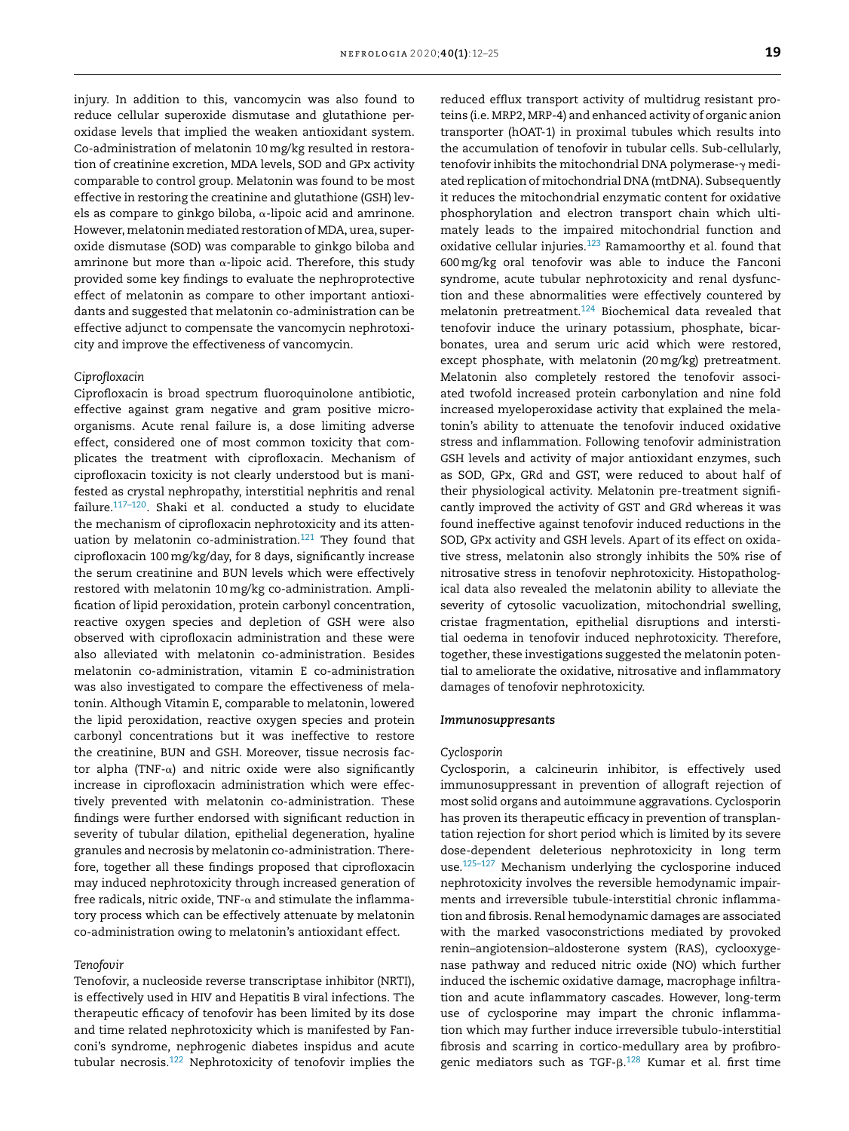injury. In addition to this, vancomycin was also found to reduce cellular superoxide dismutase and glutathione peroxidase levels that implied the weaken antioxidant system. Co-administration of melatonin 10mg/kg resulted in restoration of creatinine excretion, MDA levels, SOD and GPx activity comparable to control group. Melatonin was found to be most effective in restoring the creatinine and glutathione (GSH) levels as compare to ginkgo biloba,  $\alpha$ -lipoic acid and amrinone. However, melatonin mediated restoration of MDA, urea, superoxide dismutase (SOD) was comparable to ginkgo biloba and amrinone but more than  $\alpha$ -lipoic acid. Therefore, this study provided some key findings to evaluate the nephroprotective effect of melatonin as compare to other important antioxidants and suggested that melatonin co-administration can be effective adjunct to compensate the vancomycin nephrotoxicity and improve the effectiveness of vancomycin.

#### *Ciprofloxacin*

Ciprofloxacin is broad spectrum fluoroquinolone antibiotic, effective against gram negative and gram positive microorganisms. Acute renal failure is, a dose limiting adverse effect, considered one of most common toxicity that complicates the treatment with ciprofloxacin. Mechanism of ciprofloxacin toxicity is not clearly understood but is manifested as crystal nephropathy, interstitial nephritis and renal failure.<sup>117–120</sup>. Shaki et al. conducted a study to elucidate the mechanism of ciprofloxacin nephrotoxicity and its attenuation by melatonin co-administration. $121$  They found that ciprofloxacin 100mg/kg/day, for 8 days, significantly increase the serum creatinine and BUN levels which were effectively restored with melatonin 10mg/kg co-administration. Amplification of lipid peroxidation, protein carbonyl concentration, reactive oxygen species and depletion of GSH were also observed with ciprofloxacin administration and these were also alleviated with melatonin co-administration. Besides melatonin co-administration, vitamin E co-administration was also investigated to compare the effectiveness of melatonin. Although Vitamin E, comparable to melatonin, lowered the lipid peroxidation, reactive oxygen species and protein carbonyl concentrations but it was ineffective to restore the creatinine, BUN and GSH. Moreover, tissue necrosis factor alpha (TNF- $\alpha$ ) and nitric oxide were also significantly increase in ciprofloxacin administration which were effectively prevented with melatonin co-administration. These findings were further endorsed with significant reduction in severity of tubular dilation, epithelial degeneration, hyaline granules and necrosis by melatonin co-administration. Therefore, together all these findings proposed that ciprofloxacin may induced nephrotoxicity through increased generation of free radicals, nitric oxide, TNF- $\alpha$  and stimulate the inflammatory process which can be effectively attenuate by melatonin co-administration owing to melatonin's antioxidant effect.

# *Tenofovir*

Tenofovir, a nucleoside reverse transcriptase inhibitor (NRTI), is effectively used in HIV and Hepatitis B viral infections. The therapeutic efficacy of tenofovir has been limited by its dose and time related nephrotoxicity which is manifested by Fanconi's syndrome, nephrogenic diabetes inspidus and acute tubular necrosis.<sup>122</sup> Nephrotoxicity of tenofovir implies the reduced efflux transport activity of multidrug resistant proteins (i.e. MRP2, MRP-4) and enhanced activity of organic anion transporter (hOAT-1) in proximal tubules which results into the accumulation of tenofovir in tubular cells. Sub-cellularly, tenofovir inhibits the mitochondrial DNA polymerase- $\gamma$  mediated replication of mitochondrial DNA (mtDNA). Subsequently it reduces the mitochondrial enzymatic content for oxidative phosphorylation and electron transport chain which ultimately leads to the impaired mitochondrial function and oxidative cellular injuries. $123$  Ramamoorthy et al. found that 600mg/kg oral tenofovir was able to induce the Fanconi syndrome, acute tubular nephrotoxicity and renal dysfunction and these abnormalities were effectively countered by melatonin pretreatment.<sup>124</sup> Biochemical data revealed that tenofovir induce the urinary potassium, phosphate, bicarbonates, urea and serum uric acid which were restored, except phosphate, with melatonin (20mg/kg) pretreatment. Melatonin also completely restored the tenofovir associated twofold increased protein carbonylation and nine fold increased myeloperoxidase activity that explained the melatonin's ability to attenuate the tenofovir induced oxidative stress and inflammation. Following tenofovir administration GSH levels and activity of major antioxidant enzymes, such as SOD, GPx, GRd and GST, were reduced to about half of their physiological activity. Melatonin pre-treatment significantly improved the activity of GST and GRd whereas it was found ineffective against tenofovir induced reductions in the SOD, GPx activity and GSH levels. Apart of its effect on oxidative stress, melatonin also strongly inhibits the 50% rise of nitrosative stress in tenofovir nephrotoxicity. Histopathological data also revealed the melatonin ability to alleviate the severity of cytosolic vacuolization, mitochondrial swelling, cristae fragmentation, epithelial disruptions and interstitial oedema in tenofovir induced nephrotoxicity. Therefore, together, these investigations suggested the melatonin potential to ameliorate the oxidative, nitrosative and inflammatory damages of tenofovir nephrotoxicity.

# *Immunosuppresants*

# *Cyclosporin*

Cyclosporin, a calcineurin inhibitor, is effectively used immunosuppressant in prevention of allograft rejection of most solid organs and autoimmune aggravations. Cyclosporin has proven its therapeutic efficacy in prevention of transplantation rejection for short period which is limited by its severe dose-dependent deleterious nephrotoxicity in long term use.125–127 Mechanism underlying the cyclosporine induced nephrotoxicity involves the reversible hemodynamic impairments and irreversible tubule-interstitial chronic inflammation and fibrosis. Renal hemodynamic damages are associated with the marked vasoconstrictions mediated by provoked renin–angiotension–aldosterone system (RAS), cyclooxygenase pathway and reduced nitric oxide (NO) which further induced the ischemic oxidative damage, macrophage infiltration and acute inflammatory cascades. However, long-term use of cyclosporine may impart the chronic inflammation which may further induce irreversible tubulo-interstitial fibrosis and scarring in cortico-medullary area by profibrogenic mediators such as TGF- $\beta$ .<sup>128</sup> Kumar et al. first time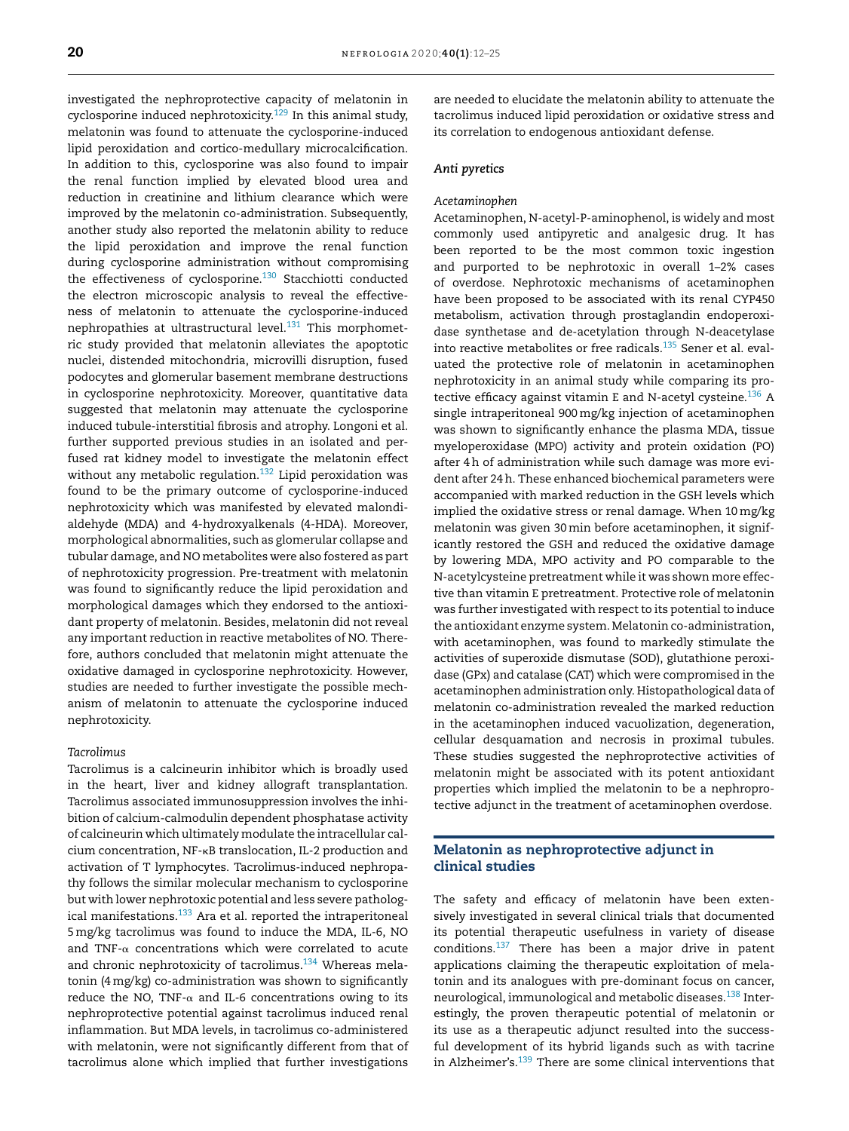investigated the nephroprotective capacity of melatonin in cyclosporine induced nephrotoxicity.<sup>129</sup> In this animal study, melatonin was found to attenuate the cyclosporine-induced lipid peroxidation and cortico-medullary microcalcification. In addition to this, cyclosporine was also found to impair the renal function implied by elevated blood urea and reduction in creatinine and lithium clearance which were improved by the melatonin co-administration. Subsequently, another study also reported the melatonin ability to reduce the lipid peroxidation and improve the renal function during cyclosporine administration without compromising the effectiveness of cyclosporine.<sup>130</sup> Stacchiotti conducted the electron microscopic analysis to reveal the effectiveness of melatonin to attenuate the cyclosporine-induced nephropathies at ultrastructural level. $131$  This morphometric study provided that melatonin alleviates the apoptotic nuclei, distended mitochondria, microvilli disruption, fused podocytes and glomerular basement membrane destructions in cyclosporine nephrotoxicity. Moreover, quantitative data suggested that melatonin may attenuate the cyclosporine induced tubule-interstitial fibrosis and atrophy. Longoni et al. further supported previous studies in an isolated and perfused rat kidney model to investigate the melatonin effect without any metabolic regulation.<sup>132</sup> Lipid peroxidation was found to be the primary outcome of cyclosporine-induced nephrotoxicity which was manifested by elevated malondialdehyde (MDA) and 4-hydroxyalkenals (4-HDA). Moreover, morphological abnormalities, such as glomerular collapse and tubular damage, and NO metabolites were also fostered as part of nephrotoxicity progression. Pre-treatment with melatonin was found to significantly reduce the lipid peroxidation and morphological damages which they endorsed to the antioxidant property of melatonin. Besides, melatonin did not reveal any important reduction in reactive metabolites of NO. Therefore, authors concluded that melatonin might attenuate the oxidative damaged in cyclosporine nephrotoxicity. However, studies are needed to further investigate the possible mechanism of melatonin to attenuate the cyclosporine induced nephrotoxicity.

# *Tacrolimus*

Tacrolimus is a calcineurin inhibitor which is broadly used in the heart, liver and kidney allograft transplantation. Tacrolimus associated immunosuppression involves the inhibition of calcium-calmodulin dependent phosphatase activity of calcineurin which ultimately modulate the intracellular calcium concentration, NF-KB translocation, IL-2 production and activation of T lymphocytes. Tacrolimus-induced nephropathy follows the similar molecular mechanism to cyclosporine but with lower nephrotoxic potential and less severe pathological manifestations.<sup>133</sup> Ara et al. reported the intraperitoneal 5mg/kg tacrolimus was found to induce the MDA, IL-6, NO and TNF- $\alpha$  concentrations which were correlated to acute and chronic nephrotoxicity of tacrolimus.<sup>134</sup> Whereas melatonin (4mg/kg) co-administration was shown to significantly reduce the NO, TNF- $\alpha$  and IL-6 concentrations owing to its nephroprotective potential against tacrolimus induced renal inflammation. But MDA levels, in tacrolimus co-administered with melatonin, were not significantly different from that of tacrolimus alone which implied that further investigations

are needed to elucidate the melatonin ability to attenuate the tacrolimus induced lipid peroxidation or oxidative stress and its correlation to endogenous antioxidant defense.

#### *Anti pyretics*

#### *Acetaminophen*

Acetaminophen, N-acetyl-P-aminophenol, is widely and most commonly used antipyretic and analgesic drug. It has been reported to be the most common toxic ingestion and purported to be nephrotoxic in overall 1–2% cases of overdose. Nephrotoxic mechanisms of acetaminophen have been proposed to be associated with its renal CYP450 metabolism, activation through prostaglandin endoperoxidase synthetase and de-acetylation through N-deacetylase into reactive metabolites or free radicals.<sup>135</sup> Sener et al. evaluated the protective role of melatonin in acetaminophen nephrotoxicity in an animal study while comparing its protective efficacy against vitamin E and N-acetyl cysteine.<sup>136</sup> A single intraperitoneal 900mg/kg injection of acetaminophen was shown to significantly enhance the plasma MDA, tissue myeloperoxidase (MPO) activity and protein oxidation (PO) after 4h of administration while such damage was more evident after 24h. These enhanced biochemical parameters were accompanied with marked reduction in the GSH levels which implied the oxidative stress or renal damage. When 10mg/kg melatonin was given 30min before acetaminophen, it significantly restored the GSH and reduced the oxidative damage by lowering MDA, MPO activity and PO comparable to the N-acetylcysteine pretreatment while it was shown more effective than vitamin E pretreatment. Protective role of melatonin was further investigated with respect to its potential to induce the antioxidant enzyme system. Melatonin co-administration, with acetaminophen, was found to markedly stimulate the activities of superoxide dismutase (SOD), glutathione peroxidase (GPx) and catalase (CAT) which were compromised in the acetaminophen administration only. Histopathological data of melatonin co-administration revealed the marked reduction in the acetaminophen induced vacuolization, degeneration, cellular desquamation and necrosis in proximal tubules. These studies suggested the nephroprotective activities of melatonin might be associated with its potent antioxidant properties which implied the melatonin to be a nephroprotective adjunct in the treatment of acetaminophen overdose.

# Melatonin as nephroprotective adjunct in clinical studies

The safety and efficacy of melatonin have been extensively investigated in several clinical trials that documented its potential therapeutic usefulness in variety of disease conditions.<sup>137</sup> There has been a major drive in patent applications claiming the therapeutic exploitation of melatonin and its analogues with pre-dominant focus on cancer, neurological, immunological and metabolic diseases.<sup>138</sup> Interestingly, the proven therapeutic potential of melatonin or its use as a therapeutic adjunct resulted into the successful development of its hybrid ligands such as with tacrine in Alzheimer's.<sup>139</sup> There are some clinical interventions that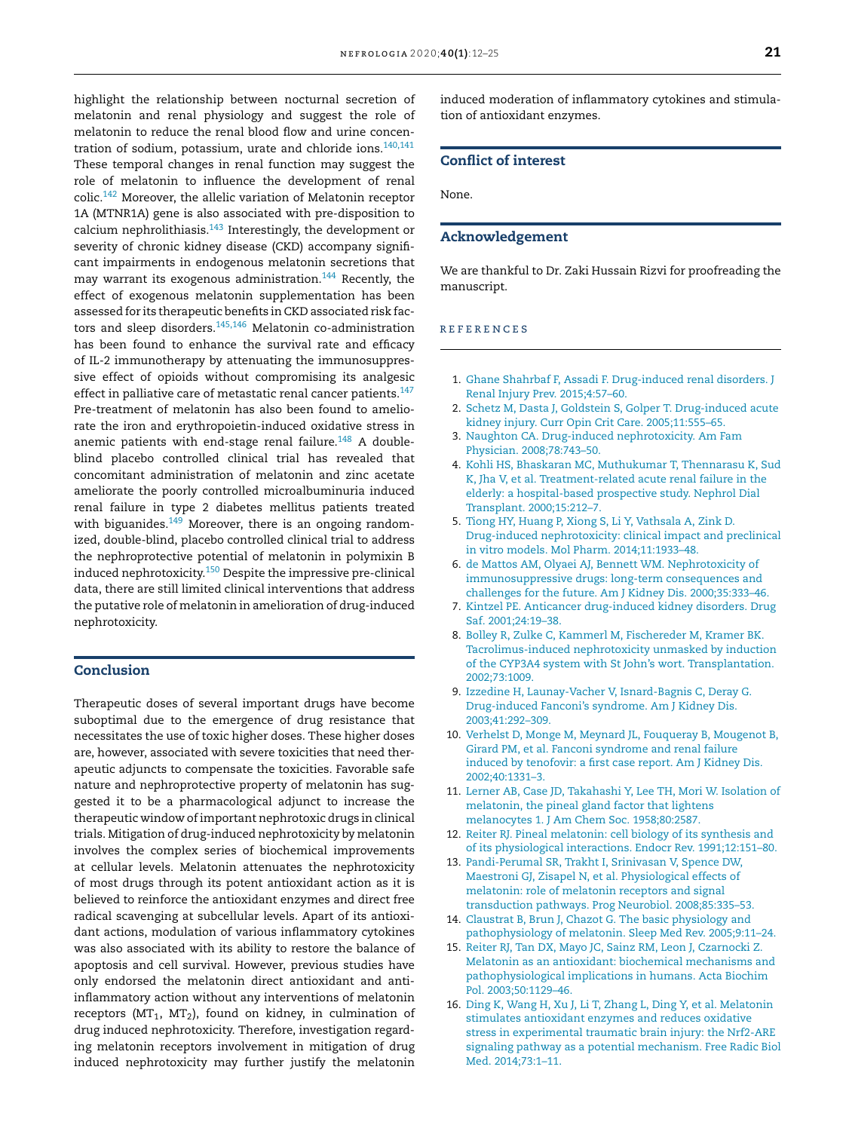highlight the relationship between nocturnal secretion of melatonin and renal physiology and suggest the role of melatonin to reduce the renal blood flow and urine concentration of sodium, potassium, urate and chloride ions.<sup>140,141</sup> These temporal changes in renal function may suggest the role of melatonin to influence the development of renal colic.<sup>142</sup> Moreover, the allelic variation of Melatonin receptor 1A (MTNR1A) gene is also associated with pre-disposition to calcium nephrolithiasis. $143$  Interestingly, the development or severity of chronic kidney disease (CKD) accompany significant impairments in endogenous melatonin secretions that may warrant its exogenous administration.<sup>144</sup> Recently, the effect of exogenous melatonin supplementation has been assessed for its therapeutic benefits in CKD associated risk factors and sleep disorders.<sup>145,146</sup> Melatonin co-administration has been found to enhance the survival rate and efficacy of IL-2 immunotherapy by attenuating the immunosuppressive effect of opioids without compromising its analgesic effect in palliative care of metastatic renal cancer patients.<sup>147</sup> Pre-treatment of melatonin has also been found to ameliorate the iron and erythropoietin-induced oxidative stress in anemic patients with end-stage renal failure. $148$  A doubleblind placebo controlled clinical trial has revealed that concomitant administration of melatonin and zinc acetate ameliorate the poorly controlled microalbuminuria induced renal failure in type 2 diabetes mellitus patients treated with biguanides. $149$  Moreover, there is an ongoing randomized, double-blind, placebo controlled clinical trial to address the nephroprotective potential of melatonin in polymixin B induced nephrotoxicity.<sup>150</sup> Despite the impressive pre-clinical data, there are still limited clinical interventions that address the putative role of melatonin in amelioration of drug-induced nephrotoxicity.

# Conclusion

Therapeutic doses of several important drugs have become suboptimal due to the emergence of drug resistance that necessitates the use of toxic higher doses. These higher doses are, however, associated with severe toxicities that need therapeutic adjuncts to compensate the toxicities. Favorable safe nature and nephroprotective property of melatonin has suggested it to be a pharmacological adjunct to increase the therapeutic window ofimportant nephrotoxic drugs in clinical trials. Mitigation of drug-induced nephrotoxicity by melatonin involves the complex series of biochemical improvements at cellular levels. Melatonin attenuates the nephrotoxicity of most drugs through its potent antioxidant action as it is believed to reinforce the antioxidant enzymes and direct free radical scavenging at subcellular levels. Apart of its antioxidant actions, modulation of various inflammatory cytokines was also associated with its ability to restore the balance of apoptosis and cell survival. However, previous studies have only endorsed the melatonin direct antioxidant and antiinflammatory action without any interventions of melatonin receptors ( $MT_1$ ,  $MT_2$ ), found on kidney, in culmination of drug induced nephrotoxicity. Therefore, investigation regarding melatonin receptors involvement in mitigation of drug induced nephrotoxicity may further justify the melatonin

induced moderation of inflammatory cytokines and stimulation of antioxidant enzymes.

# Conflict of interest

None.

# Acknowledgement

We are thankful to Dr. Zaki Hussain Rizvi for proofreading the manuscript.

# r e f e r enc e s

- 1. Ghane Shahrbaf F, Assadi F. Drug-induced renal disorders. J Renal Injury Prev. 2015;4:57–60.
- 2. Schetz M, Dasta J, Goldstein S, Golper T. Drug-induced acute kidney injury. Curr Opin Crit Care. 2005;11:555–65.
- 3. Naughton CA. Drug-induced nephrotoxicity. Am Fam Physician. 2008;78:743–50.
- 4. Kohli HS, Bhaskaran MC, Muthukumar T, Thennarasu K, Sud K, Jha V, et al. Treatment-related acute renal failure in the elderly: a hospital-based prospective study. Nephrol Dial Transplant. 2000;15:212–7.
- 5. Tiong HY, Huang P, Xiong S, Li Y, Vathsala A, Zink D. Drug-induced nephrotoxicity: clinical impact and preclinical in vitro models. Mol Pharm. 2014;11:1933–48.
- 6. de Mattos AM, Olyaei AJ, Bennett WM. Nephrotoxicity of immunosuppressive drugs: long-term consequences and challenges for the future. Am J Kidney Dis. 2000;35:333–46.
- 7. Kintzel PE. Anticancer drug-induced kidney disorders. Drug Saf. 2001;24:19–38.
- 8. Bolley R, Zulke C, Kammerl M, Fischereder M, Kramer BK. Tacrolimus-induced nephrotoxicity unmasked by induction of the CYP3A4 system with St John's wort. Transplantation. 2002;73:1009.
- 9. Izzedine H, Launay-Vacher V, Isnard-Bagnis C, Deray G. Drug-induced Fanconi's syndrome. Am J Kidney Dis. 2003;41:292–309.
- 10. Verhelst D, Monge M, Meynard JL, Fouqueray B, Mougenot B, Girard PM, et al. Fanconi syndrome and renal failure induced by tenofovir: a first case report. Am J Kidney Dis. 2002;40:1331–3.
- 11. Lerner AB, Case JD, Takahashi Y, Lee TH, Mori W. Isolation of melatonin, the pineal gland factor that lightens melanocytes 1. J Am Chem Soc. 1958;80:2587.
- 12. Reiter RJ. Pineal melatonin: cell biology of its synthesis and of its physiological interactions. Endocr Rev. 1991;12:151–80.
- 13. Pandi-Perumal SR, Trakht I, Srinivasan V, Spence DW, Maestroni GJ, Zisapel N, et al. Physiological effects of melatonin: role of melatonin receptors and signal transduction pathways. Prog Neurobiol. 2008;85:335–53.
- 14. Claustrat B, Brun J, Chazot G. The basic physiology and pathophysiology of melatonin. Sleep Med Rev. 2005;9:11–24.
- 15. Reiter RJ, Tan DX, Mayo JC, Sainz RM, Leon J, Czarnocki Z. Melatonin as an antioxidant: biochemical mechanisms and pathophysiological implications in humans. Acta Biochim Pol. 2003;50:1129–46.
- 16. Ding K, Wang H, Xu J, Li T, Zhang L, Ding Y, et al. Melatonin stimulates antioxidant enzymes and reduces oxidative stress in experimental traumatic brain injury: the Nrf2-ARE signaling pathway as a potential mechanism. Free Radic Biol Med. 2014;73:1–11.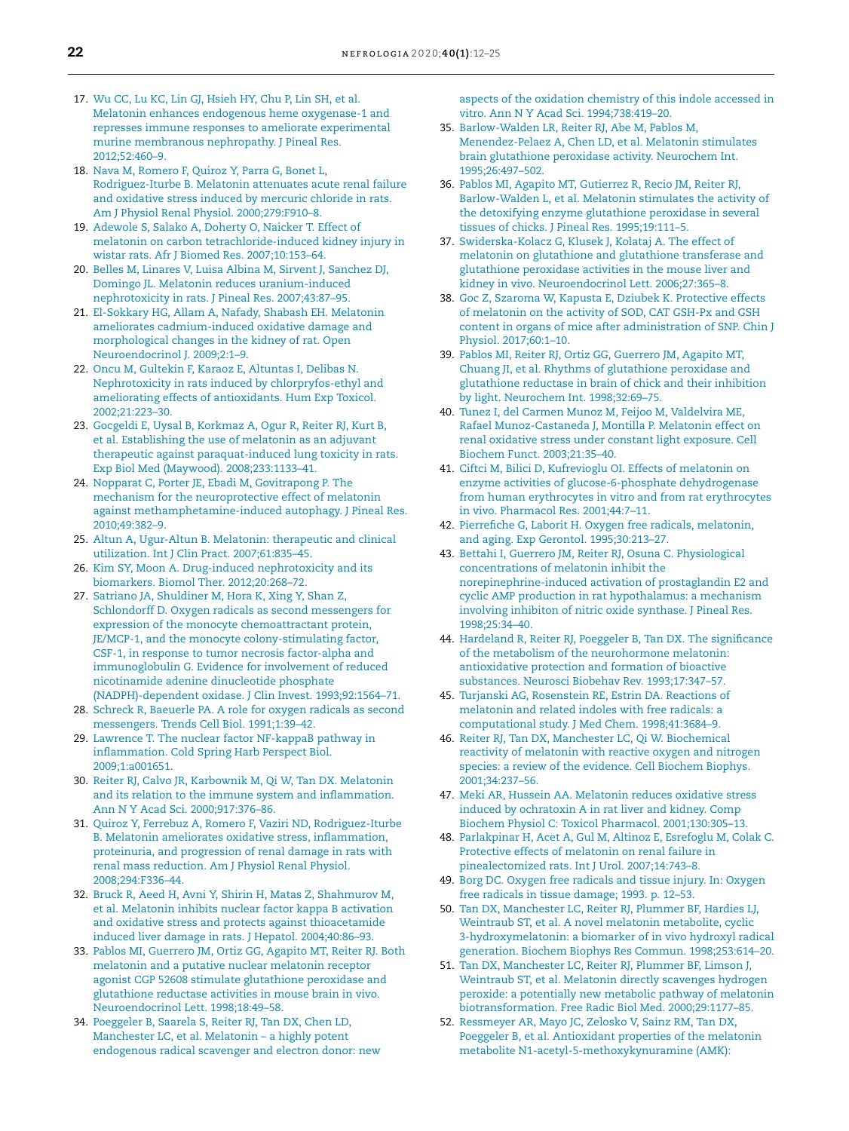- 17. Wu CC, Lu KC, Lin GJ, Hsieh HY, Chu P, Lin SH, et al. Melatonin enhances endogenous heme oxygenase-1 and represses immune responses to ameliorate experimental murine membranous nephropathy. J Pineal Res. 2012;52:460–9.
- 18. Nava M, Romero F, Quiroz Y, Parra G, Bonet L, Rodriguez-Iturbe B. Melatonin attenuates acute renal failure and oxidative stress induced by mercuric chloride in rats. Am J Physiol Renal Physiol. 2000;279:F910–8.
- 19. Adewole S, Salako A, Doherty O, Naicker T. Effect of melatonin on carbon tetrachloride-induced kidney injury in wistar rats. Afr J Biomed Res. 2007;10:153–64.
- 20. Belles M, Linares V, Luisa Albina M, Sirvent J, Sanchez DJ, Domingo JL. Melatonin reduces uranium-induced nephrotoxicity in rats. J Pineal Res. 2007;43:87–95.
- 21. El-Sokkary HG, Allam A, Nafady, Shabash EH. Melatonin ameliorates cadmium-induced oxidative damage and morphological changes in the kidney of rat. Open Neuroendocrinol J. 2009;2:1–9.
- 22. Oncu M, Gultekin F, Karaoz E, Altuntas I, Delibas N. Nephrotoxicity in rats induced by chlorpryfos-ethyl and ameliorating effects of antioxidants. Hum Exp Toxicol. 2002;21:223–30.
- 23. Gocgeldi E, Uysal B, Korkmaz A, Ogur R, Reiter RJ, Kurt B, et al. Establishing the use of melatonin as an adjuvant therapeutic against paraquat-induced lung toxicity in rats. Exp Biol Med (Maywood). 2008;233:1133–41.
- 24. Nopparat C, Porter JE, Ebadi M, Govitrapong P. The mechanism for the neuroprotective effect of melatonin against methamphetamine-induced autophagy. J Pineal Res. 2010;49:382–9.
- 25. Altun A, Ugur-Altun B. Melatonin: therapeutic and clinical utilization. Int J Clin Pract. 2007;61:835–45.
- 26. Kim SY, Moon A. Drug-induced nephrotoxicity and its biomarkers. Biomol Ther. 2012;20:268–72.
- 27. Satriano JA, Shuldiner M, Hora K, Xing Y, Shan Z, Schlondorff D. Oxygen radicals as second messengers for expression of the monocyte chemoattractant protein, JE/MCP-1, and the monocyte colony-stimulating factor, CSF-1, in response to tumor necrosis factor-alpha and immunoglobulin G. Evidence for involvement of reduced nicotinamide adenine dinucleotide phosphate (NADPH)-dependent oxidase. J Clin Invest. 1993;92:1564–71.
- 28. Schreck R, Baeuerle PA. A role for oxygen radicals as second messengers. Trends Cell Biol. 1991;1:39–42.
- 29. Lawrence T. The nuclear factor NF-kappaB pathway in inflammation. Cold Spring Harb Perspect Biol. 2009;1:a001651.
- 30. Reiter RJ, Calvo JR, Karbownik M, Qi W, Tan DX. Melatonin and its relation to the immune system and inflammation. Ann N Y Acad Sci. 2000;917:376–86.
- 31. Quiroz Y, Ferrebuz A, Romero F, Vaziri ND, Rodriguez-Iturbe B. Melatonin ameliorates oxidative stress, inflammation, proteinuria, and progression of renal damage in rats with renal mass reduction. Am J Physiol Renal Physiol. 2008;294:F336–44.
- 32. Bruck R, Aeed H, Avni Y, Shirin H, Matas Z, Shahmurov M, et al. Melatonin inhibits nuclear factor kappa B activation and oxidative stress and protects against thioacetamide induced liver damage in rats. J Hepatol. 2004;40:86–93.
- 33. Pablos MI, Guerrero JM, Ortiz GG, Agapito MT, Reiter RJ. Both melatonin and a putative nuclear melatonin receptor agonist CGP 52608 stimulate glutathione peroxidase and glutathione reductase activities in mouse brain in vivo. Neuroendocrinol Lett. 1998;18:49–58.
- 34. Poeggeler B, Saarela S, Reiter RJ, Tan DX, Chen LD, Manchester LC, et al. Melatonin – a highly potent endogenous radical scavenger and electron donor: new

aspects of the oxidation chemistry of this indole accessed in vitro. Ann N Y Acad Sci. 1994;738:419–20.

- 35. Barlow-Walden LR, Reiter RJ, Abe M, Pablos M, Menendez-Pelaez A, Chen LD, et al. Melatonin stimulates brain glutathione peroxidase activity. Neurochem Int. 1995;26:497–502.
- 36. Pablos MI, Agapito MT, Gutierrez R, Recio JM, Reiter RJ, Barlow-Walden L, et al. Melatonin stimulates the activity of the detoxifying enzyme glutathione peroxidase in several tissues of chicks. J Pineal Res. 1995;19:111–5.
- 37. Swiderska-Kolacz G, Klusek J, Kolataj A. The effect of melatonin on glutathione and glutathione transferase and glutathione peroxidase activities in the mouse liver and kidney in vivo. Neuroendocrinol Lett. 2006;27:365–8.
- 38. Goc Z, Szaroma W, Kapusta E, Dziubek K. Protective effects of melatonin on the activity of SOD, CAT GSH-Px and GSH content in organs of mice after administration of SNP. Chin J Physiol. 2017;60:1–10.
- 39. Pablos MI, Reiter RJ, Ortiz GG, Guerrero JM, Agapito MT, Chuang JI, et al. Rhythms of glutathione peroxidase and glutathione reductase in brain of chick and their inhibition by light. Neurochem Int. 1998;32:69–75.
- 40. Tunez I, del Carmen Munoz M, Feijoo M, Valdelvira ME, Rafael Munoz-Castaneda J, Montilla P. Melatonin effect on renal oxidative stress under constant light exposure. Cell Biochem Funct. 2003;21:35–40.
- 41. Ciftci M, Bilici D, Kufrevioglu OI. Effects of melatonin on enzyme activities of glucose-6-phosphate dehydrogenase from human erythrocytes in vitro and from rat erythrocytes in vivo. Pharmacol Res. 2001;44:7–11.
- 42. Pierrefiche G, Laborit H. Oxygen free radicals, melatonin, and aging. Exp Gerontol. 1995;30:213–27.
- 43. Bettahi I, Guerrero JM, Reiter RJ, Osuna C. Physiological concentrations of melatonin inhibit the norepinephrine-induced activation of prostaglandin E2 and cyclic AMP production in rat hypothalamus: a mechanism involving inhibiton of nitric oxide synthase. J Pineal Res. 1998;25:34–40.
- 44. Hardeland R, Reiter RJ, Poeggeler B, Tan DX. The significance of the metabolism of the neurohormone melatonin: antioxidative protection and formation of bioactive substances. Neurosci Biobehav Rev. 1993;17:347–57.
- 45. Turjanski AG, Rosenstein RE, Estrin DA. Reactions of melatonin and related indoles with free radicals: a computational study. J Med Chem. 1998;41:3684–9.
- 46. Reiter RJ, Tan DX, Manchester LC, Qi W. Biochemical reactivity of melatonin with reactive oxygen and nitrogen species: a review of the evidence. Cell Biochem Biophys. 2001;34:237–56.
- 47. Meki AR, Hussein AA. Melatonin reduces oxidative stress induced by ochratoxin A in rat liver and kidney. Comp Biochem Physiol C: Toxicol Pharmacol. 2001;130:305–13.
- 48. Parlakpinar H, Acet A, Gul M, Altinoz E, Esrefoglu M, Colak C. Protective effects of melatonin on renal failure in pinealectomized rats. Int J Urol. 2007;14:743–8.
- 49. Borg DC. Oxygen free radicals and tissue injury. In: Oxygen free radicals in tissue damage; 1993. p. 12–53.
- 50. Tan DX, Manchester LC, Reiter RJ, Plummer BF, Hardies LJ, Weintraub ST, et al. A novel melatonin metabolite, cyclic 3-hydroxymelatonin: a biomarker of in vivo hydroxyl radical generation. Biochem Biophys Res Commun. 1998;253:614–20.
- 51. Tan DX, Manchester LC, Reiter RJ, Plummer BF, Limson J, Weintraub ST, et al. Melatonin directly scavenges hydrogen peroxide: a potentially new metabolic pathway of melatonin biotransformation. Free Radic Biol Med. 2000;29:1177–85.
- 52. Ressmeyer AR, Mayo JC, Zelosko V, Sainz RM, Tan DX, Poeggeler B, et al. Antioxidant properties of the melatonin metabolite N1-acetyl-5-methoxykynuramine (AMK):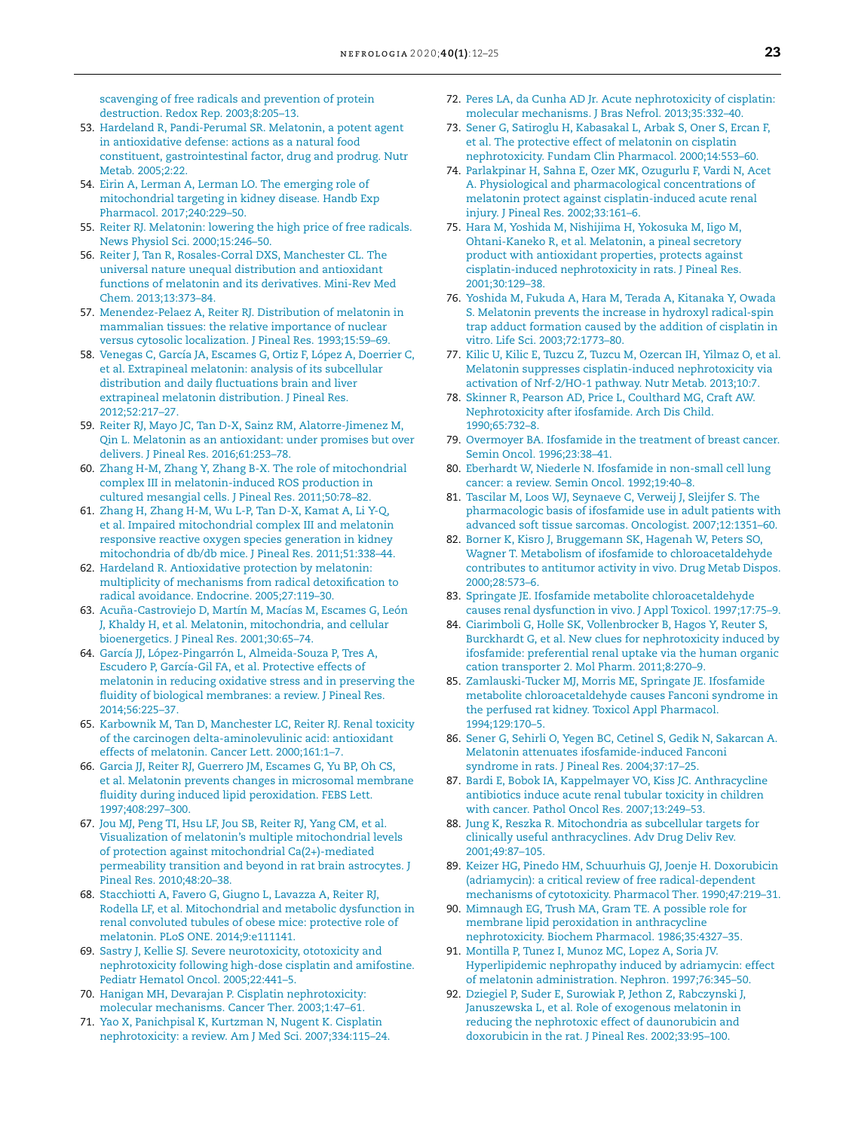scavenging of free radicals and prevention of protein destruction. Redox Rep. 2003;8:205–13.

- 53. Hardeland R, Pandi-Perumal SR. Melatonin, a potent agent in antioxidative defense: actions as a natural food constituent, gastrointestinal factor, drug and prodrug. Nutr Metab. 2005;2:22.
- 54. Eirin A, Lerman A, Lerman LO. The emerging role of mitochondrial targeting in kidney disease. Handb Exp Pharmacol. 2017;240:229–50.
- 55. Reiter RJ. Melatonin: lowering the high price of free radicals. News Physiol Sci. 2000;15:246–50.
- 56. Reiter J, Tan R, Rosales-Corral DXS, Manchester CL. The universal nature unequal distribution and antioxidant functions of melatonin and its derivatives. Mini-Rev Med Chem. 2013;13:373–84.
- 57. Menendez-Pelaez A, Reiter RJ. Distribution of melatonin in mammalian tissues: the relative importance of nuclear versus cytosolic localization. J Pineal Res. 1993;15:59–69.
- 58. Venegas C, García JA, Escames G, Ortiz F, López A, Doerrier C, et al. Extrapineal melatonin: analysis of its subcellular distribution and daily fluctuations brain and liver extrapineal melatonin distribution. J Pineal Res. 2012;52:217–27.
- 59. Reiter RJ, Mayo JC, Tan D-X, Sainz RM, Alatorre-Jimenez M, Qin L. Melatonin as an antioxidant: under promises but over delivers. J Pineal Res. 2016;61:253–78.
- 60. Zhang H-M, Zhang Y, Zhang B-X. The role of mitochondrial complex III in melatonin-induced ROS production in cultured mesangial cells. J Pineal Res. 2011;50:78–82.
- 61. Zhang H, Zhang H-M, Wu L-P, Tan D-X, Kamat A, Li Y-Q, et al. Impaired mitochondrial complex III and melatonin responsive reactive oxygen species generation in kidney mitochondria of db/db mice. J Pineal Res. 2011;51:338–44.
- 62. Hardeland R. Antioxidative protection by melatonin: multiplicity of mechanisms from radical detoxification to radical avoidance. Endocrine. 2005;27:119–30.
- 63. Acuña-Castroviejo D, Martín M, Macías M, Escames G, León J, Khaldy H, et al. Melatonin, mitochondria, and cellular bioenergetics. J Pineal Res. 2001;30:65–74.
- 64. García JJ, López-Pingarrón L, Almeida-Souza P, Tres A, Escudero P, García-Gil FA, et al. Protective effects of melatonin in reducing oxidative stress and in preserving the fluidity of biological membranes: a review. J Pineal Res. 2014;56:225–37.
- 65. Karbownik M, Tan D, Manchester LC, Reiter RJ. Renal toxicity of the carcinogen delta-aminolevulinic acid: antioxidant effects of melatonin. Cancer Lett. 2000;161:1–7.
- 66. Garcia JJ, Reiter RJ, Guerrero JM, Escames G, Yu BP, Oh CS, et al. Melatonin prevents changes in microsomal membrane fluidity during induced lipid peroxidation. FEBS Lett. 1997;408:297–300.
- 67. Jou MJ, Peng TI, Hsu LF, Jou SB, Reiter RJ, Yang CM, et al. Visualization of melatonin's multiple mitochondrial levels of protection against mitochondrial Ca(2+)-mediated permeability transition and beyond in rat brain astrocytes. J Pineal Res. 2010;48:20–38.
- 68. Stacchiotti A, Favero G, Giugno L, Lavazza A, Reiter RJ, Rodella LF, et al. Mitochondrial and metabolic dysfunction in renal convoluted tubules of obese mice: protective role of melatonin. PLoS ONE. 2014;9:e111141.
- 69. Sastry J, Kellie SJ. Severe neurotoxicity, ototoxicity and nephrotoxicity following high-dose cisplatin and amifostine. Pediatr Hematol Oncol. 2005;22:441–5.
- 70. Hanigan MH, Devarajan P. Cisplatin nephrotoxicity: molecular mechanisms. Cancer Ther. 2003;1:47–61.
- 71. Yao X, Panichpisal K, Kurtzman N, Nugent K. Cisplatin nephrotoxicity: a review. Am J Med Sci. 2007;334:115–24.
- 72. Peres LA, da Cunha AD Jr. Acute nephrotoxicity of cisplatin: molecular mechanisms. J Bras Nefrol. 2013;35:332–40.
- 73. Sener G, Satiroglu H, Kabasakal L, Arbak S, Oner S, Ercan F, et al. The protective effect of melatonin on cisplatin nephrotoxicity. Fundam Clin Pharmacol. 2000;14:553–60.
- 74. Parlakpinar H, Sahna E, Ozer MK, Ozugurlu F, Vardi N, Acet A. Physiological and pharmacological concentrations of melatonin protect against cisplatin-induced acute renal injury. J Pineal Res. 2002;33:161–6.
- 75. Hara M, Yoshida M, Nishijima H, Yokosuka M, Iigo M, Ohtani-Kaneko R, et al. Melatonin, a pineal secretory product with antioxidant properties, protects against cisplatin-induced nephrotoxicity in rats. J Pineal Res. 2001;30:129–38.
- 76. Yoshida M, Fukuda A, Hara M, Terada A, Kitanaka Y, Owada S. Melatonin prevents the increase in hydroxyl radical-spin trap adduct formation caused by the addition of cisplatin in vitro. Life Sci. 2003;72:1773–80.
- 77. Kilic U, Kilic E, Tuzcu Z, Tuzcu M, Ozercan IH, Yilmaz O, et al. Melatonin suppresses cisplatin-induced nephrotoxicity via activation of Nrf-2/HO-1 pathway. Nutr Metab. 2013;10:7.
- 78. Skinner R, Pearson AD, Price L, Coulthard MG, Craft AW. Nephrotoxicity after ifosfamide. Arch Dis Child. 1990;65:732–8.
- 79. Overmoyer BA. Ifosfamide in the treatment of breast cancer. Semin Oncol. 1996;23:38–41.
- 80. Eberhardt W, Niederle N. Ifosfamide in non-small cell lung cancer: a review. Semin Oncol. 1992;19:40–8.
- 81. Tascilar M, Loos WJ, Seynaeve C, Verweij J, Sleijfer S. The pharmacologic basis of ifosfamide use in adult patients with advanced soft tissue sarcomas. Oncologist. 2007;12:1351–60.
- 82. Borner K, Kisro J, Bruggemann SK, Hagenah W, Peters SO, Wagner T. Metabolism of ifosfamide to chloroacetaldehyde contributes to antitumor activity in vivo. Drug Metab Dispos. 2000;28:573–6.
- 83. Springate JE. Ifosfamide metabolite chloroacetaldehyde causes renal dysfunction in vivo. J Appl Toxicol. 1997;17:75–9.
- 84. Ciarimboli G, Holle SK, Vollenbrocker B, Hagos Y, Reuter S, Burckhardt G, et al. New clues for nephrotoxicity induced by ifosfamide: preferential renal uptake via the human organic cation transporter 2. Mol Pharm. 2011;8:270–9.
- 85. Zamlauski-Tucker MJ, Morris ME, Springate JE. Ifosfamide metabolite chloroacetaldehyde causes Fanconi syndrome in the perfused rat kidney. Toxicol Appl Pharmacol. 1994;129:170–5.
- 86. Sener G, Sehirli O, Yegen BC, Cetinel S, Gedik N, Sakarcan A. Melatonin attenuates ifosfamide-induced Fanconi syndrome in rats. J Pineal Res. 2004;37:17–25.
- 87. Bardi E, Bobok IA, Kappelmayer VO, Kiss JC. Anthracycline antibiotics induce acute renal tubular toxicity in children with cancer. Pathol Oncol Res. 2007;13:249–53.
- 88. Jung K, Reszka R. Mitochondria as subcellular targets for clinically useful anthracyclines. Adv Drug Deliv Rev. 2001;49:87–105.
- 89. Keizer HG, Pinedo HM, Schuurhuis GJ, Joenje H. Doxorubicin (adriamycin): a critical review of free radical-dependent mechanisms of cytotoxicity. Pharmacol Ther. 1990;47:219–31.
- 90. Mimnaugh EG, Trush MA, Gram TE. A possible role for membrane lipid peroxidation in anthracycline nephrotoxicity. Biochem Pharmacol. 1986;35:4327–35.
- 91. Montilla P, Tunez I, Munoz MC, Lopez A, Soria JV. Hyperlipidemic nephropathy induced by adriamycin: effect of melatonin administration. Nephron. 1997;76:345–50.
- 92. Dziegiel P, Suder E, Surowiak P, Jethon Z, Rabczynski J, Januszewska L, et al. Role of exogenous melatonin in reducing the nephrotoxic effect of daunorubicin and doxorubicin in the rat. J Pineal Res. 2002;33:95–100.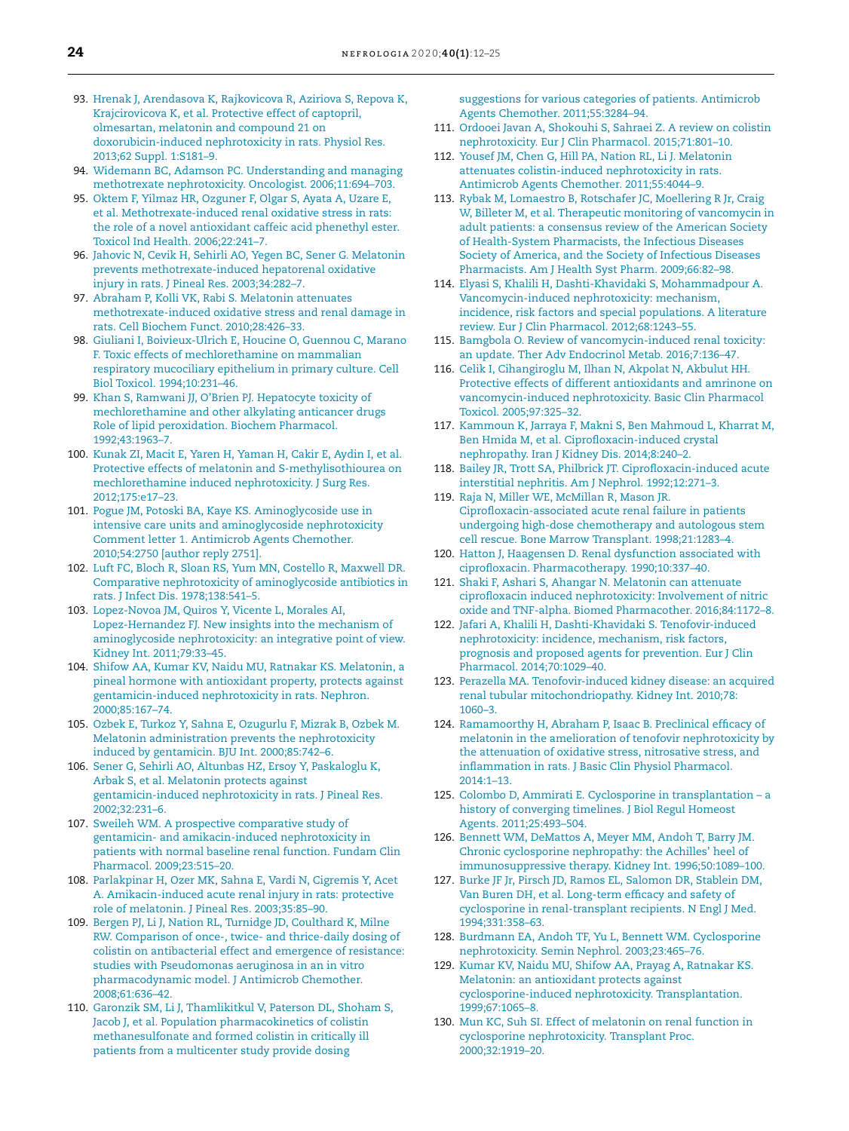- 93. Hrenak J, Arendasova K, Rajkovicova R, Aziriova S, Repova K, Krajcirovicova K, et al. Protective effect of captopril, olmesartan, melatonin and compound 21 on doxorubicin-induced nephrotoxicity in rats. Physiol Res. 2013;62 Suppl. 1:S181–9.
- 94. Widemann BC, Adamson PC. Understanding and managing methotrexate nephrotoxicity. Oncologist. 2006;11:694–703.
- 95. Oktem F, Yilmaz HR, Ozguner F, Olgar S, Ayata A, Uzare E, et al. Methotrexate-induced renal oxidative stress in rats: the role of a novel antioxidant caffeic acid phenethyl ester. Toxicol Ind Health. 2006;22:241–7.
- 96. Jahovic N, Cevik H, Sehirli AO, Yegen BC, Sener G. Melatonin prevents methotrexate-induced hepatorenal oxidative injury in rats. J Pineal Res. 2003;34:282–7.
- 97. Abraham P, Kolli VK, Rabi S. Melatonin attenuates methotrexate-induced oxidative stress and renal damage in rats. Cell Biochem Funct. 2010;28:426–33.
- 98. Giuliani I, Boivieux-Ulrich E, Houcine O, Guennou C, Marano F. Toxic effects of mechlorethamine on mammalian respiratory mucociliary epithelium in primary culture. Cell Biol Toxicol. 1994;10:231–46.
- 99. Khan S, Ramwani JJ, O'Brien PJ. Hepatocyte toxicity of mechlorethamine and other alkylating anticancer drugs Role of lipid peroxidation. Biochem Pharmacol. 1992;43:1963–7.
- 100. Kunak ZI, Macit E, Yaren H, Yaman H, Cakir E, Aydin I, et al. Protective effects of melatonin and S-methylisothiourea on mechlorethamine induced nephrotoxicity. J Surg Res. 2012;175:e17–23.
- 101. Pogue JM, Potoski BA, Kaye KS. Aminoglycoside use in intensive care units and aminoglycoside nephrotoxicity Comment letter 1. Antimicrob Agents Chemother. 2010;54:2750 [author reply 2751].
- 102. Luft FC, Bloch R, Sloan RS, Yum MN, Costello R, Maxwell DR. Comparative nephrotoxicity of aminoglycoside antibiotics in rats. J Infect Dis. 1978;138:541–5.
- 103. Lopez-Novoa JM, Quiros Y, Vicente L, Morales AI, Lopez-Hernandez FJ. New insights into the mechanism of aminoglycoside nephrotoxicity: an integrative point of view. Kidney Int. 2011;79:33–45.
- 104. Shifow AA, Kumar KV, Naidu MU, Ratnakar KS. Melatonin, a pineal hormone with antioxidant property, protects against gentamicin-induced nephrotoxicity in rats. Nephron. 2000;85:167–74.
- 105. Ozbek E, Turkoz Y, Sahna E, Ozugurlu F, Mizrak B, Ozbek M. Melatonin administration prevents the nephrotoxicity induced by gentamicin. BJU Int. 2000;85:742–6.
- 106. Sener G, Sehirli AO, Altunbas HZ, Ersoy Y, Paskaloglu K, Arbak S, et al. Melatonin protects against gentamicin-induced nephrotoxicity in rats. J Pineal Res. 2002;32:231–6.
- 107. Sweileh WM. A prospective comparative study of gentamicin- and amikacin-induced nephrotoxicity in patients with normal baseline renal function. Fundam Clin Pharmacol. 2009;23:515–20.
- 108. Parlakpinar H, Ozer MK, Sahna E, Vardi N, Cigremis Y, Acet A. Amikacin-induced acute renal injury in rats: protective role of melatonin. J Pineal Res. 2003;35:85–90.
- 109. Bergen PJ, Li J, Nation RL, Turnidge JD, Coulthard K, Milne RW. Comparison of once-, twice- and thrice-daily dosing of colistin on antibacterial effect and emergence of resistance: studies with Pseudomonas aeruginosa in an in vitro pharmacodynamic model. J Antimicrob Chemother. 2008;61:636–42.
- 110. Garonzik SM, Li J, Thamlikitkul V, Paterson DL, Shoham S, Jacob J, et al. Population pharmacokinetics of colistin methanesulfonate and formed colistin in critically ill patients from a multicenter study provide dosing

suggestions for various categories of patients. Antimicrob Agents Chemother. 2011;55:3284–94.

- 111. Ordooei Javan A, Shokouhi S, Sahraei Z. A review on colistin nephrotoxicity. Eur J Clin Pharmacol. 2015;71:801–10.
- 112. Yousef JM, Chen G, Hill PA, Nation RL, Li J. Melatonin attenuates colistin-induced nephrotoxicity in rats. Antimicrob Agents Chemother. 2011;55:4044–9.
- 113. Rybak M, Lomaestro B, Rotschafer JC, Moellering R Jr, Craig W, Billeter M, et al. Therapeutic monitoring of vancomycin in adult patients: a consensus review of the American Society of Health-System Pharmacists, the Infectious Diseases Society of America, and the Society of Infectious Diseases Pharmacists. Am J Health Syst Pharm. 2009;66:82–98.
- 114. Elyasi S, Khalili H, Dashti-Khavidaki S, Mohammadpour A. Vancomycin-induced nephrotoxicity: mechanism, incidence, risk factors and special populations. A literature review. Eur J Clin Pharmacol. 2012;68:1243–55.
- 115. Bamgbola O. Review of vancomycin-induced renal toxicity: an update. Ther Adv Endocrinol Metab. 2016;7:136–47.
- 116. Celik I, Cihangiroglu M, Ilhan N, Akpolat N, Akbulut HH. Protective effects of different antioxidants and amrinone on vancomycin-induced nephrotoxicity. Basic Clin Pharmacol Toxicol. 2005;97:325–32.
- 117. Kammoun K, Jarraya F, Makni S, Ben Mahmoud L, Kharrat M, Ben Hmida M, et al. Ciprofloxacin-induced crystal nephropathy. Iran J Kidney Dis. 2014;8:240–2.
- 118. Bailey JR, Trott SA, Philbrick JT. Ciprofloxacin-induced acute interstitial nephritis. Am J Nephrol. 1992;12:271–3.
- 119. Raja N, Miller WE, McMillan R, Mason JR. Ciprofloxacin-associated acute renal failure in patients undergoing high-dose chemotherapy and autologous stem cell rescue. Bone Marrow Transplant. 1998;21:1283–4.
- 120. Hatton J, Haagensen D. Renal dysfunction associated with ciprofloxacin. Pharmacotherapy. 1990;10:337–40.
- 121. Shaki F, Ashari S, Ahangar N. Melatonin can attenuate ciprofloxacin induced nephrotoxicity: Involvement of nitric oxide and TNF-alpha. Biomed Pharmacother. 2016;84:1172–8.
- 122. Jafari A, Khalili H, Dashti-Khavidaki S. Tenofovir-induced nephrotoxicity: incidence, mechanism, risk factors, prognosis and proposed agents for prevention. Eur J Clin Pharmacol. 2014;70:1029–40.
- 123. Perazella MA. Tenofovir-induced kidney disease: an acquired renal tubular mitochondriopathy. Kidney Int. 2010;78: 1060–3.
- 124. Ramamoorthy H, Abraham P, Isaac B. Preclinical efficacy of melatonin in the amelioration of tenofovir nephrotoxicity by the attenuation of oxidative stress, nitrosative stress, and inflammation in rats. J Basic Clin Physiol Pharmacol. 2014:1–13.
- 125. Colombo D, Ammirati E. Cyclosporine in transplantation a history of converging timelines. J Biol Regul Homeost Agents. 2011;25:493–504.
- 126. Bennett WM, DeMattos A, Meyer MM, Andoh T, Barry JM. Chronic cyclosporine nephropathy: the Achilles' heel of immunosuppressive therapy. Kidney Int. 1996;50:1089–100.
- 127. Burke JF Jr, Pirsch JD, Ramos EL, Salomon DR, Stablein DM, Van Buren DH, et al. Long-term efficacy and safety of cyclosporine in renal-transplant recipients. N Engl J Med. 1994;331:358–63.
- 128. Burdmann EA, Andoh TF, Yu L, Bennett WM. Cyclosporine nephrotoxicity. Semin Nephrol. 2003;23:465–76.
- 129. Kumar KV, Naidu MU, Shifow AA, Prayag A, Ratnakar KS. Melatonin: an antioxidant protects against cyclosporine-induced nephrotoxicity. Transplantation. 1999;67:1065–8.
- 130. Mun KC, Suh SI. Effect of melatonin on renal function in cyclosporine nephrotoxicity. Transplant Proc. 2000;32:1919–20.